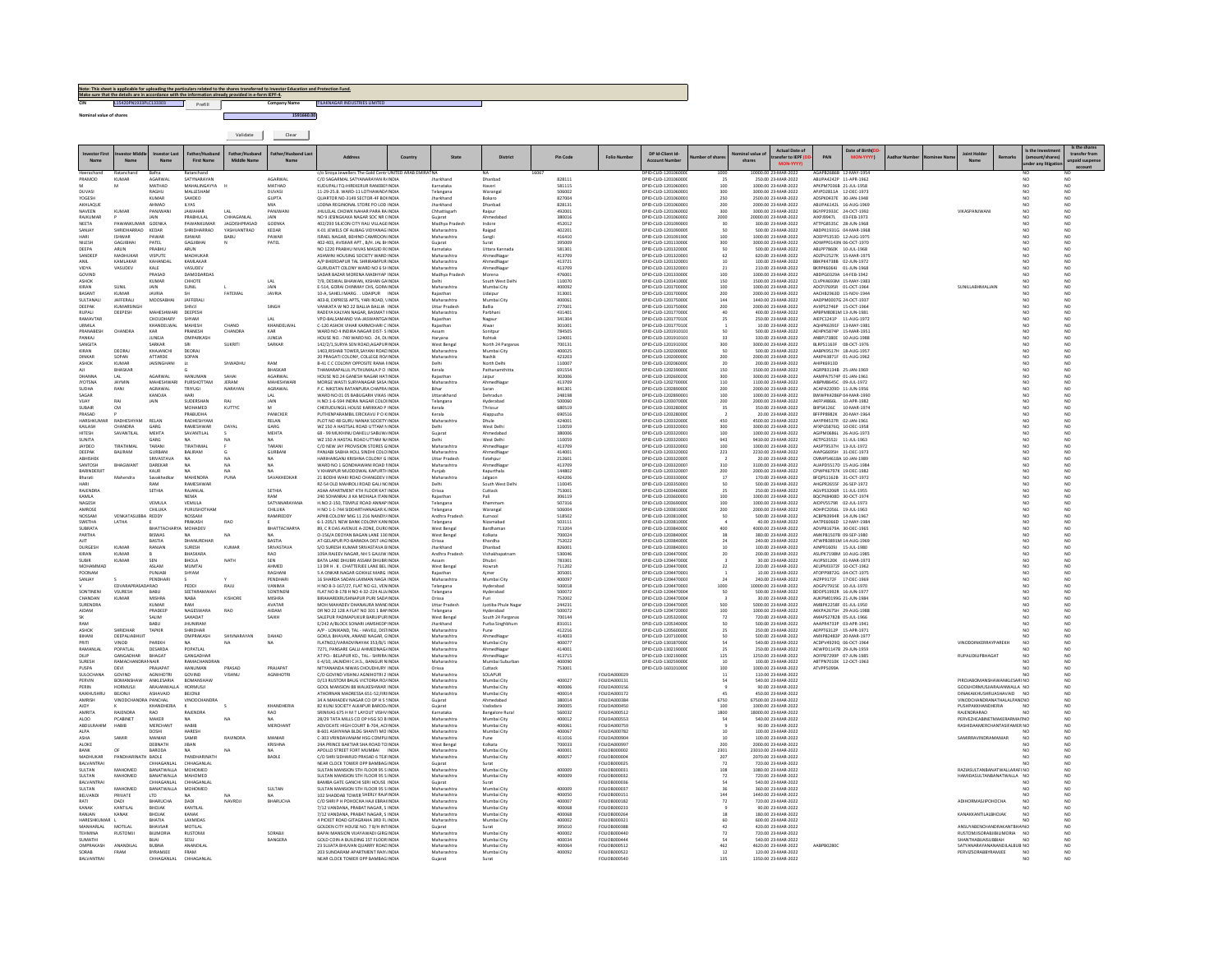|                         | Note: This sheet is applicable for uploading the particulars related to the shares transferred to Investor Education and Protection Fund.<br>Make sure that the details are in accordance with the information already provided in e-form IEPF-4. |         |              |            |                               |  |  |  |  |  |  |  |  |  |  |
|-------------------------|---------------------------------------------------------------------------------------------------------------------------------------------------------------------------------------------------------------------------------------------------|---------|--------------|------------|-------------------------------|--|--|--|--|--|--|--|--|--|--|
| CIN                     | L15420PN1933PLC133303                                                                                                                                                                                                                             | Prefill | Company Name |            | TILAKNAGAR INDUSTRIES LIMITED |  |  |  |  |  |  |  |  |  |  |
| Nominal value of shares |                                                                                                                                                                                                                                                   |         |              | 1591660.00 |                               |  |  |  |  |  |  |  |  |  |  |
|                         |                                                                                                                                                                                                                                                   |         | Validate     | Clear      |                               |  |  |  |  |  |  |  |  |  |  |

|                                |                             |                               |                                | Father/Hushan              | ather/Hushand Las           |                                                                                 | $C_{\text{CMB}}$ | State                               | <b>District</b>                      | <b>Pin Code</b>  | Folio Numbe                  | DP Id-Client Id-                             | nher of shar                                       | inal value c | ansfer to IEPF                              | PAN                                               | ate of Birth( |  | <b>Joint Hol</b>                                            | ount/shares                        | Is the share<br>transfer from |
|--------------------------------|-----------------------------|-------------------------------|--------------------------------|----------------------------|-----------------------------|---------------------------------------------------------------------------------|------------------|-------------------------------------|--------------------------------------|------------------|------------------------------|----------------------------------------------|----------------------------------------------------|--------------|---------------------------------------------|---------------------------------------------------|---------------|--|-------------------------------------------------------------|------------------------------------|-------------------------------|
| Name                           | Name                        | Name                          | <b>First Name</b>              | <b>Middle Name</b>         | Name                        |                                                                                 |                  |                                     |                                      |                  |                              | <b>Account Numbe</b>                         |                                                    | shares       |                                             |                                                   |               |  | Name                                                        | der any litigat                    | npaid suspens                 |
| Heerachang                     | Ratar                       | Rafna<br>AGARWAI              |                                |                            |                             | o Siroya Jewellers The Gold Centr UNITED ARAB EMIRATNA                          |                  |                                     |                                      | 16067            |                              | DPID-CLID-120106000                          | 1000                                               |              | 10000.00 23-MAR-2022                        | AGAPB2686B 12-MAY-1954                            |               |  |                                                             |                                    | NO                            |
| RAMOD                          | KUMAR                       | MATHAD                        | SATYNARAYA<br>MAHALINGAYYA     |                            | AGARWAL<br><b>MATHAD</b>    | C/O SAGARMAL SATYANARAYAN RJINDIA<br>KUDUPALI TO-HIREKERUR RANEREI INDIA        |                  | Karnataka                           | Dhanbad<br>Haveri                    | 828111<br>581115 |                              | DPID-CLID-120106000<br>DRID-CLID-1201060001  | 100                                                |              | 250.00 23-MAR-2022<br>1000.00.23-MAR-2022   | ABUPA4242P 11-APR-1962<br>APKPM7036B 21-ILIL-1958 |               |  |                                                             | NO <sub>1</sub>                    | NO <sub>1</sub>               |
| DUVASI<br><b>rOGES</b>         |                             | RAGHU<br>KUMAF                | MALLESHAM<br>SAHDEO            |                            | DUVASI<br>GUPTA             | 11-29-25.B. WARD-11 LOTHAWAD/ INDIA<br>QUARTOR NO-3149 SECTOR-4F BOHNDM         |                  | Telangana                           | Warangal<br>Bokaro                   | 506002<br>827004 |                              | DPID-CLID-120106000:<br>DPID-CLID-120106000  | 300<br>250                                         |              | 3000.00 23-MAR-2022<br>2500.00 23-MAR-2022  | APJPD2811A 12-DEC-1973<br>ADSPK0437E 30-JAN-1948  |               |  |                                                             | NO.                                | NO<br>NO                      |
| AKHLAOUE                       |                             | AHMAD                         | II YAS                         |                            | MIA                         | LODNA REGINONAL STORE PO LOD INDIA                                              |                  | Jharkhand                           | Dhanbad                              | 828131           |                              | DRID-CLID-1201060001                         | 200                                                |              | 2000.00.23-MAR-2022                         | ARUPA6142L 16-AUG-1969                            |               |  |                                                             | NO <sub>1</sub>                    | NO.                           |
| NAVEEN<br>RAJKUMAP             | <b>KUMAR</b>                | PANJWANI<br>JAIN              | <b>JAWAHAR</b><br>PRABHULAL    | LAL<br>CHHAGANLAI          | PANJWAN<br>JAIN             | JHULELAL CHOWK NAHAR PARA RAINDIA<br>NO 9 JESINGKAKA NAGAR SOC NR (INDIA        |                  | Chhattisearh<br>Gujarat             | Raipur<br>Ahmedabao                  | 492001<br>380016 |                              | DPID-CLID-120106000<br>DPID-CLID-120106000   | 300<br>2000                                        |              | 3000.00 23-MAR-2022<br>20000.00 23-MAR-2022 | BGYPP2933C 24-OCT-1992<br>AIXPJ9947L              | 03-FEB-1973   |  | VIKASPANJWAN                                                | NO <sub>1</sub><br>NO              | NO.<br>NO                     |
| <b>NEFTA</b>                   | PAWANKLIMAR GOENKA          |                               | PAWANKLIMAR                    | <b>IAGDISHPRASAD</b>       | GOENKA                      | 402/293 SILICON CITY RALLVILLAGE INDIA                                          |                  | Madhya Pradesh                      | Indore                               | 452012           |                              | DPID-CUD-1201090003                          | 30                                                 |              | 300.00.23-MAR-2022                          | ATTPGR535C 28-ILIN-1968                           |               |  |                                                             | NO.                                | NO<br>NO                      |
| SANJAY                         | SHRIDHARRAO<br><b>SHWAR</b> | KEDAR<br>PAWAR                | SHRIDHARRAO<br><b>ISHWAR</b>   | <b>YASHVANTRAO</b><br>BABL | KEDAR<br>PAWAR              | K-01 JEWELS OF ALIBAG VIDYANAG INDIA<br>ISRAEL NAGAR, BEHIND CAMROON INDIA      |                  | Maharashtra<br>Maharashtra          | Raigad<br>Sangli                     | 402201<br>416410 |                              | DPID-CLID-120109000<br>DPID-CUD-1201091900   | 100                                                |              | 500.00 23-MAR-2022<br>1000.00 23-MAR-2022   | ABDPK1931G 04-MAR-1968<br>AOEPP5353D 12-AUG-1975  |               |  |                                                             | NO <sub>1</sub><br>NO <sub>1</sub> | NO                            |
| NILESH                         | <b>GAGJIBHAI</b>            | PATEL                         | <b>GAGJIBHAI</b>               |                            | PATEL                       | 402-403, AVISKAR APT., B/H, JAL BHNDIA                                          |                  | Guiarat                             | Surat                                | 395009           |                              | DPID-CUD-120113000                           | 300                                                |              | 3000.00 23-MAR-2022                         | ADWPP0143N 06-OCT-1970                            |               |  |                                                             | NO                                 | NO.                           |
| DEEPA<br>SANDEE                | ARUN<br>MADHUKA             | PRABHU<br>VISPUTE             | ARUN<br>MADHUKAR               |                            |                             | NO 1220 PRABHU NIVAS MASJID R(INDIA<br>ASHWINI HOUSING SOCIETY WARD INDIA       |                  | Karnataka<br>Maharashtra            | Uttara Kannada<br>AhmedNaga          | 581301<br>413709 |                              | DPID-CLID-120132000<br>DPID-CLID-120132000   | 50<br>62                                           |              | 500.00 23-MAR-2022<br>620.00 23-MAR-2022    | ABLPP7860K 10-JUL-1968<br>ADZPV2527K 15-MAR-1975  |               |  |                                                             | NO.<br>NO                          | NO<br>NO                      |
| AMIL                           | KAMI AKAR                   | KAHANDAI                      | KAMLAKAR                       |                            |                             | A/P RHERDAPLIR TAL SHRIRAMPLIR INDIA                                            |                  | Maharashtra                         | AhmedNaga                            | 413721           |                              | DPID-CLID-1201320001                         | 10                                                 |              | 100.00.23-MAR-2022                          | RRKPK4738R 02-ILIN-1972                           |               |  |                                                             | NO <sub>1</sub>                    | NO.<br>NO                     |
| VIDYA<br>GOVINI                | VASUDEV                     | KALE<br>PRASAD                | VASUDEV<br>DAMODARDA           |                            |                             | GURUDATT COLONY WARD NO 6 SF INDIA<br>SADAR BAZAR MORENA MADHYAP INDIA          |                  | Maharashtra<br>Madhya Pradesi       | AhmedNagar<br>Morena                 | 413709<br>47600  |                              | DPID-CLID-120132000:<br>DPID-CLID-120133000  | 21<br>100                                          |              | 210.00 23-MAR-2022<br>1000.00 23-MAR-2022   | BKRPK6064J 01-JUN-1968<br>ABDPG0329A 14-FEB-1942  |               |  |                                                             | NO.                                | NO                            |
| ASHOK<br>KIRAN                 | SUNIL                       | KUMAR<br><b>HIAL</b>          | CHHOTE<br>SUNIL                |                            | LAL<br>JAIN                 | 7/9, DESWAL BHAWAN, KISHAN GAINDIA<br>E-514, GORAI CHINMAY CHS, GORA INDIA      |                  | Delhi<br>Maharashtra                | South West Delh<br>Mumbai City       | 110070<br>400092 |                              | DPID-CLID-120141000<br>DPID-CLID-120170000   | 150<br>100                                         |              | 1500.00 23-MAR-2022<br>1000.00 23-MAR-2022  | CLVPK4693M 15-MAY-1983<br>ADCPJ7695R 01-OCT-1964  |               |  | <b>SUNILLABHMALIAIN</b>                                     | NO <sub>1</sub><br>NO <sub>1</sub> | NO.<br>NQ                     |
| BASANT                         | KUMAR                       | <b>JAVRIA</b>                 | <b>SH</b>                      | FATEMAL                    | <b>JAVRIA</b>               | 10-A, SAHELI MARG UDAIPUR INDIA                                                 |                  | Rajasthan                           | Udaipur                              | 313001           |                              | DPID-CLID-120170000                          | 200                                                |              | 2000.00 23-MAR-2022                         | AACHB2963D 15-NOV-1944                            |               |  |                                                             | NO                                 | NO                            |
| SULTANALI<br>DEEPAK            | JAFFERALI<br>KUMARSINGH     | <b>MOOSABHAI</b>              | JAFFERALI<br>SHIVJI            |                            | SINGH                       | 403-B. EXPRESS APTS, YARI ROAD, VINDIA<br>VANKATA W NO 22 BALLIA BALLIA INDIA   |                  | Maharashtra<br><b>Uttar Pradesh</b> | Mumbai City<br>Ballia                | 400061<br>277001 |                              | DPID-CLID-120175000<br>DPID-CUD-120175000    | 144<br>200                                         |              | 1440.00 23-MAR-2022<br>2000.00 23-MAR-2022  | AADPM0007G 24-OCT-1937<br>AVXPS2746P 15-OCT-1964  |               |  |                                                             | NO <sub>1</sub><br>NO <sub>1</sub> | NO.<br>NO                     |
| RUPALI                         | DEEPESH                     | MAHESHWARI                    | DEEPESH                        |                            |                             | RADEYA KALYAN NAGAR, BASMAT IINDIA                                              |                  | Maharashtra                         | Parbhani                             | 431401           |                              | DPID-CLID-120177000                          |                                                    |              | 400.00 23-MAR-2022                          | APBPM8081M 13-JUN-1981                            |               |  |                                                             | NO                                 | NO                            |
| RAMAVTAR<br>URMILA             |                             | CHOUDHARY<br>KHANDELWAL       | SHYAM<br>MAHESH                | CHAND                      | LAL<br>KHANDELWAL           | VPO-BALSAMAND VIA-JASWANTGA INDIA<br>C-120 ASHOK VIHAR KARMCHARI C INDIA        |                  | Rajasthan<br>Rajasthan              | Nagaur<br>Alwar                      | 341304<br>301001 |                              | DPID-CLID-120177010<br>DPID-CLID-120177010   | 25                                                 |              | 250.00 23-MAR-2022<br>10.00 23-MAR-2022     | AIEPC1241P 11-AUG-1972<br>AQHPK6391F 13-MAY-1981  |               |  |                                                             | NO <sub>1</sub><br>NO <sub>1</sub> | NO.<br>NO                     |
| PRANARES                       | CHANDRA                     | <b>KAR</b>                    | <b>DRAMES</b>                  | CHANDRA                    | KAR                         | WARD NO 4 INDIRA NAGAR DIST- S INDIA                                            |                  |                                     | Sonitpu                              | 784505           |                              | 080-CUD-1201910101                           | 50                                                 |              | 500.00 23-MAR-2022                          | AEHPK5874P 15-MAR-1951                            |               |  |                                                             | NO <sub>1</sub>                    | NO<br>NO                      |
| PANKAJ<br><b>SANGIT/</b>       |                             | <b>JUNEJA</b><br>SARKAR       | OMPARKASH                      | <b>SUKRITI</b>             | JUNEJA<br>SARKAR            | HOUSE NO. - 740 WARD NO. - 24, DLINDIA<br>142/2/1, SURYA SEN ROAD, AGAPUR INDI  |                  | Haryana<br>West Benga               | Rohtak<br>North 24 Pargana           | 124001<br>70013  |                              | DPID-CLID-120191010:<br>DPID-CLID-120191030  | 33<br>300                                          |              | 330.00 23-MAR-2022<br>3000.00 23-MAR-2022   | ANBPJ7380E 10-AUG-1988<br>BLRPS1163F 08-OCT-1976  |               |  |                                                             | NO                                 | NO                            |
| KIRAN                          | DEORAL                      | KHAIANCHI                     | DEORAL                         |                            |                             | 1403 RISHAR TOWER SAYANI ROAD INDIA                                             |                  | Maharashtra                         | Mumbai City                          | 400025           |                              | DRID-CLID-120200000                          | so                                                 |              | 500.00.23-MAR-2022                          | AARPK9517H 18-AUG-1957                            |               |  |                                                             | NO <sub>1</sub>                    | NO.                           |
| DINKAR<br>ASHOK                | SOPAN<br>KUMAI              | ATTARDE<br><b>JAISINGHAN</b>  | SOPAN<br>Lt                    | ShWADHU                    | RAM                         | 20 PRAGATI COLONY, COLLEGE RO/ INDIA<br>B-41 C C COLONY OPPOSITE RANA FINDM     |                  | Maharashtra<br>Delhi                | Nashik<br>North Delh                 | 423203<br>110007 |                              | DPID-CLID-120200000<br>DPID-CLID-120206000   | 200<br>20                                          |              | 2000.00 23-MAR-2022<br>200.00 23-MAR-2022   | AAKPA3871F 01-AUG-1962<br><b>AHIPK6913D</b>       |               |  |                                                             | NO <sub>1</sub><br>NO              | NO.<br>NÓ                     |
| AII.                           | RHASKAR                     |                               |                                |                            | RHASKAR                     | THAMARAPALLII PITTHUMALA P.O. INDIA                                             |                  | Kerala                              | Pathanamthitt                        | 691554           |                              | DPID-CLID-1202390000                         | 150                                                |              | 1500.00 23-MAR-2022                         | AGRPB3134B 25-JAN-1969                            |               |  |                                                             | NO <sub>1</sub>                    | NO                            |
| DHANNA<br><b>JYOTSNA</b>       | LAL<br>JAYMIN               | AGARWAL<br>MAHESHWAF          | HANUMAN<br>PURSHOTTAN          | SAHAI<br>JERAM             | AGARWAL<br>MAHESHWAP        | HOUSE NO.24 GANESH NAGAR HATINDIA<br>MORGE WASTI SURYANAGAR SASA INDIA          |                  | Rajasthan<br>Maharashtra            | Jaiour<br>AhmedNaga                  | 302006<br>413709 |                              | DPID-CLID-120260020<br>DPID-CLID-120270000   | 300<br>$_{\rm 110}$                                |              | 3000.00 23-MAR-2022<br>1100.00 23-MAR-2022  | AAMPA7574P 01-JAN-1961<br>AIBPM8645C 09-JUL-1972  |               |  |                                                             | NO <sub>1</sub><br>NO <sub>1</sub> | NO.<br>$_{\rm NO}$            |
| <b>SUDHA</b>                   | RANI                        | AGRAWAL                       | <b>TRIYUGI</b>                 | NARAYAN                    | AGRAWAL                     | P.C. NIKETAN RATANPURA CHAPRA INDIA                                             |                  | Rihar                               | Saran                                | 841301           |                              | DPID-CLID-120289000                          | 200                                                |              | 2000.00 23-MAR-2022                         | ACAPA2209D 11-JUN-1956                            |               |  |                                                             | NO <sub>1</sub>                    | NO <sub>1</sub>               |
| SAGAF                          | RAI                         | KANOJIA<br>JAIN               | HARI<br>SUDERSHAN              | RAJ                        | LAL<br>JAIN                 | WARD NO 01 05 BABUGARH VIKAS INDIA<br>H.NO:1-6-594 INDRA NAGAR COLOHNDI         |                  | Uttarakhand<br>Telangana            | Dehradun<br>Hyderabac                | 248198<br>500060 |                              | DPID-CLID-120289000:<br>DPID-CLID-120307000  | 100<br>200                                         |              | 1000.00 23-MAR-2022<br>2000.00 23-MAR-2022  | BWWPK4286P 04-MAR-1990<br>AKFPJ4866L 10-APR-1982  |               |  |                                                             | NO <sub>1</sub><br>NO              | NQ<br>NO                      |
| SUBAIR                         | CM                          |                               | MOHAMED                        | KUTTYC                     | M                           | CHERUDUNGIL HOUSE KARIKKAD P INDIA                                              |                  | Kerala                              | Thrissur                             | 680519           |                              | DPID-CUD-120328000                           | 35                                                 |              | 350.00 23-MAR-2022                          | BIIPS4126C                                        | 10-MAR-1974   |  |                                                             | NO <sub>1</sub>                    | NO.                           |
| PRASAD<br>HARSHKU              | RADHESHYAM                  | RELAN                         | PRABUDHA<br>RADHESHYAN         |                            | PANICKER<br>RELAN           | PUTHENPARAMBIL ERICKAVU P O KINDIA<br>PLOT NO 48 GURU NANAK SOCIETY INDI        |                  | Kerala<br>Maharashtra               | Alappuzha                            | 690516<br>424001 |                              | DPID-CLID-120328000<br>DPID-CLID-120332000   | 450                                                |              | 20.00 23-MAR-2022<br>4500.00 23-MAR-2022    | BFFPP8982K 20-MAY-1964<br>AAYPR4537R 02-JAN-1961  |               |  |                                                             | NO<br>NO                           | NO<br>NO                      |
| KAILASH                        | CHANDRA                     | GARG                          | RAMESHWAR                      | DAYAL                      | GARG.                       | WZ 150 A HASTSAL ROAD LITTAM NINDIA                                             |                  | Delbi                               | West Delhi                           | 110059           |                              | DPID-CLID-1203320001                         | 300                                                |              | 3000.00.23-MAR-2022                         | AEXPG58760 10-DEC-1958                            |               |  |                                                             | NO <sub>1</sub>                    | NO.                           |
| HITESH<br>SUNITA               | SAVANTILAL                  | MEHTA<br><b>GARG</b>          | SAVANTILAL                     |                            | MEHTA                       | 68 - 99 MUKHINU DAHELU SABUW INDIA<br>WZ 150 A HASTAL ROAD UTTAM N/INDIA        |                  | Guiarat<br>Delhi                    | Ahmedabad<br>West Delhi              | 380006<br>110059 |                              | DPID-CLID-120332000:<br>DPID-CLID-120332000: | 100<br>943                                         |              | 1000.00 23-MAR-2022<br>9430.00 23-MAR-2022  | AGIPM0686L 26-AUG-1973<br>AETPG3552J 11-JUL-1963  |               |  |                                                             | NO<br>NO.                          | $\overline{NQ}$<br>NO         |
| JAYDEO<br>DEEPAK               | TIRATHMAL<br>BALIRAM        | TARANI<br><b>GURBANI</b>      | TIRATHMAL<br>BALIRAM           |                            | TARANI<br>GURBANI           | C/O NEW JAY PROVISION STORES GINDIA                                             |                  | Maharashtra                         | AhmedNaga                            | 413709<br>414001 |                              | DPID-CLID-120332000<br>DPID-CUD-120332000    | 100                                                |              | 1000.00 23-MAR-2022<br>2230.00 23-MAR-2022  | AASPT9537H 13-JUL-1972<br>AIAPG6695H 31-DEC-1973  |               |  |                                                             | NO <sub>1</sub><br>NO <sub>1</sub> | NO.<br>NQ                     |
| <b>ABHISHER</b>                |                             | SRIVASTAVA                    | <b>NA</b>                      | $N\Delta$                  | NΔ                          | PANJABI SABHA HOLL SINDHI COLO INDIA<br>HARIHARGANJ KRISHNA COLONY G INDIA      |                  | Maharashtra<br><b>Uttar Pradesh</b> | AhmedNaga<br>Fatehpur                | 212601           |                              | DPID-CUD-120332000                           | 223                                                |              | 20.00 23-MAR-2022                           | CMMPS4618A 10-JAN-1989                            |               |  |                                                             | NO.                                | NO                            |
| SANTOSH                        | BHAGWANT                    | DAREKAR                       | <b>NA</b>                      | NA.                        | <b>NA</b>                   | WARD NO 1 GONDHAWANI ROAD FINDIA<br>V KHANPUR MUDDOWAL KAPURTH INDIA            |                  | Maharashtra                         | AhmedNaga                            | 413709<br>144802 |                              | DPID-CLID-120332000<br>DPID-CUD-120332000    | 310                                                |              | 3100.00 23-MAR-2022<br>2000.00 23-MAR-2022  | AUAPD5517D 15-AUG-1984<br>CPWPK6797K 19-DEC-1982  |               |  |                                                             | NO <sub>1</sub><br>NO <sub>1</sub> | NO.<br>NQ                     |
| BARINDERJIT<br>Bharati         | Mahendra                    | KAUR<br>Savakhedk             | <b>MAHENDRA</b>                | PUNA                       | SAVAKHEDKAR                 | 21 BODHI WAKI ROAD CHANGDEV IINDIA                                              |                  | Puniab<br>Maharashtra               | Kapurthala<br>algaon                 | 424205           |                              | DPID-CUD-1203330000                          | 200<br>$17\,$                                      |              | 170.00 23-MAR-2022                          | BFQPS1162B 31-OCT-1972                            |               |  |                                                             | NO <sub>1</sub>                    | NO                            |
| HARI                           |                             | RAM                           | RAMESHWAR                      |                            |                             | RZ-54 OLD MAHROLI ROAD GALI N(INDIA                                             |                  | Delhi                               | South West Delhi                     | 110045           |                              | DPID-CLID-120335000:                         | 50                                                 |              | 500.00 23-MAR-2022                          | AHGPR2655F 26-SEP-1972                            |               |  |                                                             | NO <sub>1</sub>                    | NO.                           |
| RAJENDRA<br>KAMI A             |                             | <b>SETHIA</b>                 | RAJANLAL<br><b>NFMA</b>        |                            | SETHIA<br><b>DAM</b>        | ASHA APARTMENT 4TH FLOOR KAT INDIA<br>240 SOHANRAL II KA MOHALA ITAN INDIA      |                  | Orissa<br>Rajasthan                 | Cuttack<br>Pali                      | 753001<br>306119 |                              | DPID-CLID-120346000<br>DRID-CLID-1203600001  | 25<br>$100 -$                                      |              | 250.00 23-MAR-2022<br>1000.00.23-MAR-2022   | AGVPS3206R 11-JUL-1955<br>BOCPKS408D 30-OCT-1974  |               |  |                                                             | NO<br>NO <sub>1</sub>              | NO<br>NO.                     |
| NAGESH                         |                             | VEMULA                        | VEMULA                         |                            | SATYANARAYANA               | H.NO:2-150, TEMPLE ROAD ANNAP INDIA                                             |                  | Telangana                           | Khamman                              | 507316           |                              | DPID-CLID-120369000                          | 100                                                |              | 1000.00 23-MAR-2022                         | AIOPV5579R 02-JUL-1973                            |               |  |                                                             | NO                                 | NO                            |
| MROS<br>MOSSAM                 | VENKATASUBBA REDDY          | CHILUKA                       | PURUSHOTHAN<br><b>NOSSAM</b>   |                            | CHILUKA<br>RAMIREDDY        | H NO 1-1-744 SIDDARTHANAGAR K INDM<br>APHB COLONY MIG 11 216 NANDY/ INDIA       |                  | Telangana<br>Andhra Pradesh         | Warangal<br>Kurnool                  | 506004<br>518502 |                              | DPID-CLID-120381000<br>DPID-CLID-1203810000  | 200<br>50                                          |              | 2000.00 23-MAR-2022<br>500.00.23-MAR-2022   | ADHPC2056L 19-JUL-1963<br>ACRPN3994R 14-ILIN-1967 |               |  |                                                             | NO<br>NO <sub>1</sub>              | NO<br>$_{\rm NO}$             |
| SWETHA<br><b>SUBRATA</b>       | <b>LATHA</b>                | BHATTACHA                     | PRAKASH<br>MOHADEV             | <b>RAO</b>                 | BHATTACHARYA                | 6-1-205/1 NEW BANK COLONY KAN INDIA<br>89, C R DAS AVENUE A-ZONE, DURCINDIA     |                  | Telangana                           | Nizamabad                            | 503111<br>713204 |                              | DPID-CLID-1203810000<br>DPID-CLID-120384000  | 400                                                |              | 40.00 23-MAR-2022<br>4000.00 23-MAR-2022    | AATPE6066D 12-MAY-1984<br>ADVPB1679A 30-DEC-1965  |               |  |                                                             | NO <sub>1</sub><br>NO              | NO.                           |
| PARTHA                         |                             | <b>RISWAS</b>                 |                                | NA                         |                             | O-156/A DEOYAN BAGAN LANE 136 INDIA                                             |                  | West Benga<br>West Benga            | Bardhamar<br>Kolkata                 | 700024           |                              | DPID-CLID-1203840000                         | 38                                                 |              | 380.00 23-MAR-2022                          | AMKPR1507R 09-SEP-1980                            |               |  |                                                             | NO <sub>1</sub>                    | $_{\rm NO}$<br>NO             |
| AJIT<br><b>DURGESE</b>         | KUMAR                       | <b>BASTIA</b><br>RANJAM       | DHANURDHAR<br>SURESH           | KUMAR                      | <b>BASTIA</b><br>SRIVASTAVA | AT-GELAPUR PO-BARADIA DIST-JAG INDIA<br>S/O SURESH KUMAR SRIVASTAVA BINDIA      |                  | Orissa<br>tharkhand                 | Khordha<br>Dhanbad                   | 752022<br>826003 |                              | DPID-CLID-1203840000<br>DPID-CLID-120384000  | 24                                                 |              | 240.00 23-MAR-2022<br>100.00 23-MAR-2022    | ATWPB3891M 14-AUG-1969<br>AJNPR1609J 15-JUL-1980  |               |  |                                                             | NO <sub>1</sub><br>NO              | NO.<br>NO                     |
| KIRAN                          | <b>KUMAR</b>                |                               | BHASKARA                       |                            | <b>RAO</b>                  | 109A RAJEEV NAGAR, NH 5 GAJUW INDIA                                             |                  | Andhra Pradesh                      | Vishakhapatnam                       | 530046           |                              | DPID-CUD-120447000                           | 20                                                 |              | 200.00 23-MAR-2022                          | ASUPK7198M 10-AUG-1985                            |               |  |                                                             | NO <sub>1</sub>                    | NO.                           |
| <b>SUBIR</b><br><b>MOHAMMA</b> | KUMAR                       | SEN<br>ASLAM                  | BHOLA<br>MUMTAL                | NATH                       | SEN<br>AHMED                | BATA LANE DHUBRI ASSAM DHUBR INDIA<br>13 DR H. K. CHATTERJEE LANE BEL INDIA     |                  | Assam<br>West Benga                 | Dhubri<br>Howrah                     | 783301<br>711202 |                              | DPID-CLID-120447000<br>DPID-CLID-120447000   | 22                                                 |              | 30.00 23-MAR-2022<br>220.00 23-MAR-2022     | AVJPS0120K 01-MAR-1973<br>AEUPM3372F 10-OCT-1962  |               |  |                                                             | NO <sub>1</sub><br>NO              | NO.<br>NO                     |
| POONAM                         |                             | PUNJARI                       | SHYAM                          |                            | RAGHANI                     | 5 A ONKAR NAGAR GOKHLE MARG INDIA                                               |                  | Rajasthan                           | Aimer                                | 305001           |                              | DPID-CLID-1204470001                         |                                                    |              | 10.00.23-MAR-2022                           | ATOPP9872G 04-OCT-1975                            |               |  |                                                             | NO <sub>1</sub>                    | NO.                           |
| SANJAY                         | EDVARAPR                    | PENDHARI<br>RAO               | PEDDI                          | RAJU                       | PENDHARI<br>VANIMA          | 16 SHARDA SADAN LAXMAN NAGA INDIA<br>H NO 8-3-167/27, FLAT NO G1, VENINDM       |                  | Maharashtra                         | Mumbai City                          | 400097<br>500018 |                              | DPID-CLID-120447000<br>DPID-CLID-120447000   | 24<br>1000                                         |              | 240.00 23-MAR-2022<br>10000.00 23-MAR-2022  | AIZPP9172F 17-DEC-1969<br>ADGPV7915E 10-JUL-197   |               |  |                                                             | NO<br>NO                           | NO                            |
| SONTINENI                      | VSURFSH                     | RABIL                         | SEFTARAMAIAH                   |                            | SONTINENI                   | FLAT NO B-178 H NO 4-32-224 ALL LINDIA                                          |                  | Telangana<br>Telangana              | Hyderabac<br>Huderabad               | 500072           |                              | DPID-CLID-120447000                          | 50                                                 |              | 500.00.23-MAR-2022                          | RDOPS1992R 16-ILIN-1977                           |               |  |                                                             | NO <sub>1</sub>                    | NO                            |
| CHANDAN<br>SURFNDRA            | <b>KUMAR</b>                | MISHR/<br>KLIMAR              | NABA<br>RAM                    | KISHOR                     | MISHRA<br>AVATAR            | BIRAHAREKRUSHNAPUR PURI SADA INDIA<br>MOH MAHADEV DHANAURA MANLINDIA            |                  | Orissa<br>Uttar Pradesh             | Jyotiba Phule Nag                    | 752002<br>244231 |                              | DPID-CLID-120447000<br>DPID-CLID-1204470005  | 500                                                |              | 30.00 23-MAR-2022<br>5000.00 23-MAR-2022    | AUKPM0199G 21-JUN-1984<br>AMBPK2258F 01-JUL-1950  |               |  |                                                             | NO<br>NO.                          | $_{\rm NO}^{\rm NO}$<br>NO    |
| AIDAM                          |                             | PRADEEP                       | NAGESWARA                      | <b>RAO</b>                 | AIDAM                       | DR NO 22 128 A FLAT NO 301 1 BAN INDIA                                          |                  | Telangana                           | Hyderabad                            | 500072           |                              | DPID-CLID-120472000                          | 100                                                |              | 1000.00 23-MAR-2022                         | AKKPA2675H 29-AUG-1988                            |               |  |                                                             | NO <sub>1</sub>                    | NO.                           |
| RAM                            |                             | SALIM<br><b>BABU</b>          | SAHADAT<br><b>JHUNIRAM</b>     |                            | SAIKH                       | SALEPUR PADMAPUKUR BARUIPURINDIA<br>E/242 A/BLOCK SONARI JAMSHEDP INDIA         |                  | West Bengal<br>Jharkhand            | South 24 Parganas<br>Purba Singhbhun | 700144<br>831011 |                              | DPID-CUD-120532000<br>DPID-CLID-120534000    | 72                                                 |              | 720.00 23-MAR-2022<br>500.00 23-MAR-2022    | AMAPS2782B 05-JUL-1966<br>AAAPR4733P 03-APR-1941  |               |  |                                                             | NO<br>NO <sub>1</sub>              | NQ<br>NO                      |
| ASHOK                          | SHRIDHAR                    | <b>TAPKIR</b>                 | SHRIDHAR                       |                            |                             | A/P - LONIKAND, TAL - HAVELI, DISTINDIA                                         |                  | Maharashtra                         | Pune                                 | 412216           |                              | DPID-CLID-120560000                          | 25                                                 |              | 250.00 23-MAR-2022                          | AEPPT6312P 15-APR-1971                            |               |  |                                                             | NO.                                | NO.                           |
| BIHANI<br>PRITI                | DEEPALIABHUIT<br>uwon       | PAREKE                        | OMPRAKASH<br><b>MA</b>         | SHIVNARAYAN                | DAHAD<br>NA                 | GOKUL BHAVAN, ANAND NAGAR, GINDIA<br>FLATNO2/VARADVINAYAK 353/B/1 INDIA         |                  | Maharashtra<br>Maharashtra          | AhmedNaga<br>Mumbai City             | 414003<br>400077 |                              | DPID-CLID-120710000<br>DPID-CUD-130187000    | 50<br>54                                           |              | 500.00 23-MAR-2022<br>540.00 23-MAR-2022    | AMXPB2483P 20-MAR-1977<br>ACDPV4929Q 06-OCT-1964  |               |  | <b>VINODOINKERRAYPAREKH</b>                                 | NO <sub>1</sub><br>NO <sub>1</sub> | NO<br>NO                      |
| RAMANLAI                       | POPATLAL                    | DESARDA                       | POPATLAL                       |                            |                             | 7271. PANSARE GALLI AHMEDNAGJINDIA                                              |                  | Maharashtra                         | AhmedNagar                           | 414001           |                              | DPID-CUD-130219000                           |                                                    |              | 250.00 23-MAR-2022                          | AEWPD1147B 29-JUN-1959                            |               |  |                                                             | NO <sub>1</sub>                    | NO<br>NO                      |
| DILIP<br>SURFSH                | <b>RAMACHANDRANNAIR</b>     | BHAGAT                        | GANGADHAI<br>RAMACHANDRAN      |                            |                             | AT PO.- BELAPUR KD., TAL.- SHRIRA INDIA<br>F-4/10 IAI NIDHLC H.S. RANGUR NINDIA |                  | Maharashtra<br>Maharashtra          | AhmedNaga<br>Mumbai Suburbar         | 413715<br>400090 |                              | DPID-CLID-130219000<br>DRID-CLID-1302590000  | 125<br>10                                          |              | 1250.00 23-MAR-2022<br>100.00 23-MAR-2022   | AOFPB7299P 07-JUN-198<br>ABTPN7010K 12-OCT-1963   |               |  | <b>IUPALIDILIPBHAGAT</b>                                    | NO <sub>1</sub>                    | NO.                           |
| PUSPA                          | <b>DEVI</b>                 | PRAJAPAT                      | <b>HANUMAN</b>                 | PRASAD                     | PRAJAPAT                    | NITYANANDA NIWAS CHOUDHURY INDIA                                                |                  | Orissa                              | Cuttack                              | 753001           |                              | DPID-CLID-160101000                          | 100                                                |              | 1000.00 23-MAR-2022                         | ATVPP5099A                                        |               |  |                                                             | NO                                 | NO.<br>NÓ                     |
| SULOCHAN<br><b>PERVIN</b>      | GOVIND<br><b>ROMANSHAW</b>  | <b>AGNIHOTR</b><br>ANKLESARIA | GOVIND<br>ROMANSHAW            | VISHNU                     | <b>AGNIHOTRI</b>            | C/O GOVIND VISHNU AGNIHOTRI 2 INDIA<br>D/13 RUSTOM BAUG VICTORIA ROJINDIA       |                  | Maharashtra<br>Maharashtra          | SOLAPUR<br>Mumbai City               | 400027           | FOLIOA00002<br>EQUIDADD131   |                                              | 11<br>54                                           |              | 110.00 23-MAR-2022<br>540.00.23-MAR-2022    |                                                   |               |  | PIROIAROMANSHAWANKI FSARI NO                                |                                    | NO.                           |
| PERIN                          | <b>HORMUSJI</b>             | ARAJANWALLA                   | <b>HORMUSJI</b>                |                            |                             | GOOL MANSION 88 WALKESHWAR INDIA                                                |                  | Maharashtra                         | Mumbai City                          | 400006           | FOLIOA000156<br>FOLIOA000172 |                                              |                                                    |              | 90.00 23-MAR-2022<br>450.00 23-MAR-2022     |                                                   |               |  | GOOLHORMUSJIARAJANWALLA NO<br><b>DINAKAIKHUSHRUASHAVAID</b> |                                    | NO.<br>NO                     |
| KAIKHUSH<br><b>AMRISH</b>      | BEJONJI<br>VINODCHI         | ASHAVAID<br>PANCHAL           | BEJONJI<br><b>VINODCHANDRA</b> |                            |                             | ATHORNAN MADRESSA 651-52.FIRIINDIA<br>34 A MAHADEV NAGAR CO OP HIS UNDIA        |                  | Maharashtra<br>Gujarat              | Mumbai City<br>Ahmedabac             | 400014<br>380014 | FOI IDADDR384                |                                              |                                                    |              | 67500.00 23-MAR-2022                        |                                                   |               |  | VINODCHANDRANATHALALPAN(NO                                  |                                    |                               |
| <b>AJOY</b><br>AMRITA          | RAJENDRA                    | KHANDHERIA<br><b>RAO</b>      | RAJENDRA                       |                            | KHANDHERIA<br>RAO           | 82 KUNJ SOCIETY ALKAPUR BAROD INDIA<br>SRINIVAS 675 H M T LAYOUT VISHV INDIA    |                  | Guiarat<br>Karnataka                | Vadodara<br>Bangalore Rural          | 390005<br>560032 | FOLIOA000450<br>FOLIOA000512 |                                              | $\begin{array}{c} 6750 \\ 100 \end{array}$<br>1800 |              | 1000.00 23-MAR-2022<br>18000.00 23-MAR-2022 |                                                   |               |  | PUSHPAKKHANDHERIA<br>RAJENDRARAC                            | NO                                 | NO<br>NO<br>NO                |
| ALO <sub>D</sub>               | <b>PCABINET</b>             | MAKER                         | <b>NA</b>                      | NA                         | <b>NA</b>                   | 28/29 TATA MILLS CO OP HSG SO B INDIA                                           |                  | Maharashtra                         | Mumbai City                          | 400012           | FOLIOA000553                 |                                              | 54                                                 |              | 540.00 23-MAR-2022                          |                                                   |               |  | PERVEZHCABINETMAKERARMAI1NO                                 |                                    | NO.                           |
| <b>ABDULRAHII</b>              | HABIB                       | MERCHANT                      | HABIB                          |                            | MERCHANT                    | ADVOCATE HIGH COURT B-704, ACIINDIA                                             |                  | Maharashtra                         | Mumbai City                          | 400061           | FOLIOA000759                 |                                              |                                                    |              | 90.00 23-MAR-2022                           |                                                   |               |  | RASHIDAAMERCHANTASIFAMER NO                                 |                                    | NO<br>NO                      |
| <b>ALPA</b><br>ASHA            | SAMIR                       | DOSHI<br>MANIAR               | HARESH<br>SAMIR                | RAVINDRA                   | MANIAR                      | B-601 ASHIYANA BLDG SHANTI MO INDIA<br>C-303 VRINDAVANAM HSG COMPITINDIA        |                  | Maharashtra<br>Maharashtra          | Mumbai City<br>Pune                  | 400067<br>411016 | FOLIOA000782<br>FOU IOADDRAM |                                              | 10<br>10                                           |              | 100.00 23-MAR-2022<br>100.00.23-MAR-2022    |                                                   |               |  | SAMIRRAVINDRAMANIAR                                         | NO <sub>1</sub>                    | NO.                           |
| ALOKE                          |                             | DEBNATH                       | <b>JIBAN</b>                   |                            | KRISHNA                     | 24A PRINCE BAKTIAR SHA ROAD TO INDIA                                            |                  | West Bengal                         | Kolkata                              | 700033           | FOLIOA000997                 |                                              | 200                                                |              | 2000.00 23-MAR-2022                         |                                                   |               |  |                                                             | NO <sub>1</sub>                    | NO                            |
| <b>BANK</b><br>MADHUKAR        | PANDHARINATH BADLE          | BARODA                        | PANDHARINATH                   |                            | <b>BADLE</b>                | APOLLO STREET FORT MUMBAI<br>C/O SHRI SIDHARUD PRASAD 6 TEJF INDIA              |                  | Maharashtra<br>Maharashtra          | Mumbai City<br>Mumbai City           | 40000<br>400057  | FOLIOB00000<br>FOLIOB000004  |                                              | 2301<br>207                                        |              | 23010.00 23-MAR-202<br>2070.00 23-MAR-2022  |                                                   |               |  |                                                             | NO                                 | NO<br>NO.                     |
| BALVANTRAI<br><b>SHI TAN</b>   | MAHOMED                     | CHHAGANLAL<br>BANATWALLA      | CHHAGANLAL<br><b>MOHOMED</b>   |                            |                             | NEAR CLOCK TOWER OPP BAMBAG INDIA<br>SULTAN MANSION 5TH FLOOR 95 S INDIA        |                  | Guiarat<br>Maharashtra              | Mumbai City                          | 400009           | FOLIOB000025<br>FOLIOB000031 |                                              | 72<br>108                                          |              | 720.00 23-MAR-2022<br>1080.00 23-MAR-2022   |                                                   |               |  | RA7IASULTANBANATWALLARAFI NO                                |                                    | NO<br>NO                      |
| SULTAN                         | MAHOMED                     | BANATWALLA                    | MAHOMED                        |                            |                             | SULTAN MANSION STH FLOOR 95 S INDIA                                             |                  | Maharashtra                         | Mumbai City                          | 400009           | FOLIOB000032                 |                                              | 72                                                 |              | 720.00 23-MAR-2022                          |                                                   |               |  | HAMIDASULTANBANATWALLA NO                                   |                                    | NO.                           |
| <b>BALVANTRAI</b><br>SULTAN    | <b>MAHOMED</b>              | CHHAGANLAL                    | CHHAGANLAL<br>MOHOMED          |                            |                             | BAMBA GATE GANCHI SERI HOUSE INDIA<br>SULTAN MANSION 5TH FLOOR 95 S INDIA       |                  | Guiarat                             | Surat<br>Mumbai City                 | sonons           | FOLIOB000036<br>FOLIOB000037 |                                              | 54                                                 |              | 540.00 23-MAR-2022<br>360.00 23-MAR-2022    |                                                   |               |  |                                                             |                                    | NO.                           |
| BELVAND                        | PRIVATE                     | BANATWALLA<br>LTD             | <b>NA</b>                      |                            | SULTAN                      | 102 SHADDAB TOWER SHERLY RAIA INDIA                                             |                  | Maharashtra<br>Maharashtra          | Mumbai City                          | 400050           | FOLIOB000151                 |                                              | 144                                                |              | 1440.00 23-MAR-2022                         |                                                   |               |  |                                                             | NO.                                | NO<br>NO.                     |
| RATI<br>KANAK                  | DAD<br>KANTILAL             | BHARUCHA                      | <b>DADI</b><br>KANTILAL        | NAVROJI                    | BHARUCHA                    | C/O SHRI P H POHOCHA HAJI EBRAHNDIA<br>7/12 VANDANA, PRABAT NAGAR, S INDIA      |                  | Maharashtra                         | Mumbai City                          | 400007<br>400068 | FOLIOB000182                 |                                              | 72                                                 |              | 720.00 23-MAR-2022<br>90.00 23-MAR-2022     |                                                   |               |  | ADIHORMASJIPOHOCHA                                          | NO <sub>1</sub>                    | NO<br>NO                      |
| RANJAN                         | KANAK                       | BHOJAK<br>BHOJAK              | KANAK                          |                            |                             | 7/12 VANDANA, PRABAT NAGAR, S INDIA                                             |                  | Maharashtra<br>Maharashtra          | Mumbai City<br>Mumbai City           | 400068           | FOLIOB000233<br>FOLIOB000264 |                                              | 18                                                 |              | 180.00 23-MAR-2022                          |                                                   |               |  | KANAKKANTILALBHOJAK                                         | NO <sub>1</sub>                    | NO.                           |
| HARESHKUMAI<br>MANHARI AI      | MOTILAL                     | BHATIA<br><b>RHAVSAR</b>      | LAXMIDA:<br>MOTILAL            |                            |                             | 4 PICKET ROAD GITAGRAHA 3RD FL INDM<br>GOLDEN CITY HOUSE NO. 7 R/H INTINDIA     |                  | Maharashtra<br>Guiarat              | Mumbai City<br>Surat                 | 400002<br>395010 | FOLIOB000321<br>EQUIDROOD385 |                                              | 42                                                 |              | 600.00 23-MAR-2022<br>420.00.23-MAR-2022    |                                                   |               |  | ANSUVARENCHANDRAKANTRHA'NO                                  |                                    | NO<br>NO.                     |
| TEHMINA                        | RUSTOMJI                    | BILIMORIA                     | <b>RUSTOMII</b>                |                            | SORABJI                     | BAPAI MANSION VIJAYAWADI GIRGINDIA                                              |                  | Maharashtra                         | Mumbai City                          | 400002           | FOLIOB000440                 |                                              |                                                    |              | 720.00 23-MAR-2022                          |                                                   |               |  | RUSTOMJISORABJIBILIMORIA NO                                 |                                    | NO.                           |
| <b>SUMATH</b><br>OMPRAKASH     | ANANDILAI                   | <b>BURNA</b>                  | ANANDILAI                      |                            | BANGERA                     | GOLD COIN A BUILDING 1ST FLOOR INDIA<br>23 SUILATA RHUWAN OLIARRY ROAD INDIA    |                  | Maharashtra<br>Maharashtra          | Mumbai City<br>Mumbai City           | 400034<br>400064 | FOLIOB00044<br>EQUOR000512   |                                              | 462                                                |              | 540.00 23-MAR-2022<br>4620.00 23-MAR-2022   | AARPR02800                                        |               |  | <b>HANTHABUAISUBBIAH</b><br>SATYANARAYANANANDILALBUB NO     |                                    | NO<br>NO.                     |
| SORAB                          | FRAM                        | <b>BYRAMJEE</b>               | FRAM                           |                            |                             | 203 SUNDARAM APARTMENT RAIY/INDIA                                               |                  | Maharashtra                         | Mumbai City                          | 400092           | FOLIOB000522                 |                                              | 12                                                 |              | 120.00 23-MAR-2022                          |                                                   |               |  | PERVIZSORABBYRAMJEE                                         | <b>NO</b>                          | NO.                           |
| BALVANTRA                      |                             | CHHAGANLAL                    | CHHAGANLAI                     |                            |                             | NEAR CLOCK TOWER OPP BAMBAG INDIA                                               |                  | Guiarat                             | Surat                                |                  | FOLIOB000540                 |                                              | 135                                                |              | 1350.00 23-MAR-2022                         |                                                   |               |  |                                                             |                                    |                               |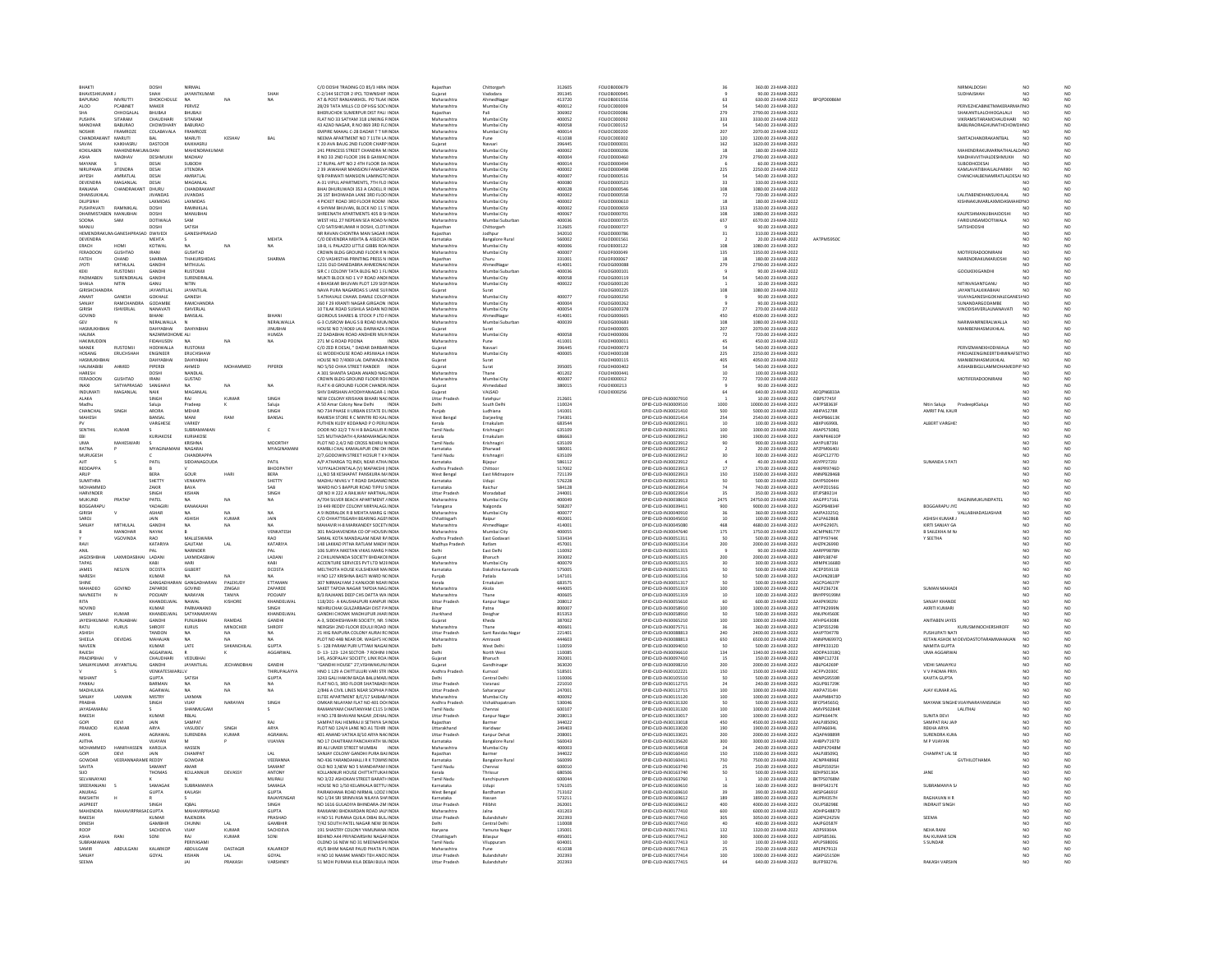| RHAKT                                       |                             | DOSH                 | <b>NIRMA</b>                |               |                            | C/O DOSHI TRADING CO 85/3 HIRA INDIA                                                                         |                                             | Chittorgar                           | 312605           | FOI IOR000679                 |                                              |                                          | 360.00 23-MAR-2022                         |                                               | NIRMALDOSE                                        |                             |
|---------------------------------------------|-----------------------------|----------------------|-----------------------------|---------------|----------------------------|--------------------------------------------------------------------------------------------------------------|---------------------------------------------|--------------------------------------|------------------|-------------------------------|----------------------------------------------|------------------------------------------|--------------------------------------------|-----------------------------------------------|---------------------------------------------------|-----------------------------|
| <b>BHAVESHKUMAR J</b>                       |                             | SHAH                 | JAYANTKUMAF                 |               |                            | C-2/144 SECTOR 2 IPCL TOWNSHIP INDIA                                                                         | Gujarat                                     | Vadodara                             | 391345           | FOLIOB000949                  |                                              |                                          | 90.00 23-MAR-2022                          |                                               | SUDHAISHAF                                        | NO                          |
| BAPURAO                                     | <b>NIVRUTTI</b>             | DHOKCHOULE           | NA                          | $N\Delta$     | NΔ                         | AT & POST RANJANKHOL, PO TILAK INDIA                                                                         | Maharashtra                                 | AhmedNaga                            | 413720           | FOLIOB001556                  |                                              | 63                                       | 630.00 23-MAR-2022                         | <b>RPOPDOORGN</b>                             |                                                   | NO                          |
| ALO <sub>0</sub>                            | PCABINET                    | MAKER                | PERVEZ                      |               |                            | 28/29 TATA MILLS CO OP HSG SOCHNDI                                                                           | Maharashtra                                 | Mumbai City                          | 400012           | FOLIOC00000                   |                                              |                                          | 540.00 23-MAR-2022                         |                                               | PERVEZHCABINETMAKERARMA                           |                             |
| <b>SHA</b><br><b>PLISHPA</b>                | CHHOGALAI<br>SITARAM        | BHUBAJI<br>CHAUDHAR  | BHUBAJI<br>SITARAM          |               |                            | BHERUCHOK SUMERPUR DIST PALI INDIA<br>FLAT NO 33 SATYAM 318 LINKING FINDIA                                   | Rajasthan<br>Maharashtra                    | Pali<br>Mumbai City                  | 306902<br>400052 | FOLIOC000086<br>FOLIOC000092  |                                              | 279<br>333                               | 2790.00 23-MAR-2022<br>3330.00 23-MAR-2022 |                                               | SHAKANTILALCHHOGALALJI<br>VIKRAMSITARAMCHALIDHARI | <b>NO</b><br>N <sub>0</sub> |
| MANOHAR                                     | <b>BABURAO</b>              | CHOWDHARY            | BABURAC                     |               |                            | 43 AZAD NAGAR, R NO 869 3RD FL( INDIA                                                                        | Maharashtra                                 | Mumbai City                          | 400058           | FOLIOC000152                  |                                              |                                          | 540.00 23-MAR-2022                         |                                               | BABURAORAGHUNATHCHOWDH NO                         |                             |
| NOSHIE                                      | <b>FRAMROZE</b>             | COLABAVALA           | <b>FRAMROZE</b>             |               |                            | <b>EMPIRE MAHAL C-28 DADAR TT MUNDIA</b>                                                                     | Maharashtra                                 | Mumbai City                          | 400014           | EQUIDC000200                  |                                              | 207                                      | 2070.00.23-MAR-2022                        |                                               |                                                   |                             |
| <b>CHANDRAK</b>                             | <b>MARUTI</b>               | <b>BAL</b>           | <b>MARUTI</b>               | <b>KESHAV</b> | BAI                        | NEEMA APARTMENT NO 7 11TH LA INDIA                                                                           | Maharashtra                                 | Pune                                 | 411038           | FOLIOC000302                  |                                              | 120                                      | 1200.00 23-MAR-2022                        |                                               | SMITACHANDRAKANTBAL                               | NO <sub>1</sub>             |
| SAVAK<br>KOKILABEN                          | KAIKHASRU<br>MAHENDRA       | DASTOOR              | KAIKHASRU<br>AHENDRAKUMA    |               |                            | K 20 AVA BAUG 2ND FLOOR CHARP INDIA<br>1 PRINCESS STREET CHANDRA M INDIA                                     | Guiarat<br>Maharashtra                      | Navsari<br>Mumbai City               | 396445<br>40000  | FOLIOD000031<br>FOLIOD00020   |                                              | $\begin{array}{c} 162 \\ 18 \end{array}$ | 1620.00 23-MAR-2022<br>180.00.23-MAR-2023  |                                               | MAHENDRAKUMARNATHALALD/NC                         |                             |
| ASHA                                        | MADHAV                      | <b>DESHMUKH</b>      | MADHAV                      |               |                            | R NO 33 2ND FLOOR 196 B GAIWAI INDIA                                                                         | Maharashtra                                 | Mumbai City                          | 400004           | FOLIOD000460                  |                                              | 279                                      | 2790.00 23-MAR-2022                        |                                               | MADHAVVITHALDESHMUKH                              | <b>NO</b>                   |
| MAYANK                                      |                             | DESAL                | SURODH                      |               |                            | 17 RUPAL APT NO 2 4TH FLOOR DA INDIA                                                                         | Maharashtra                                 | Mumbai City                          | 400014           | FOI IODODD494                 |                                              |                                          | 60.00.23-MAR-2022                          |                                               | <b>SURODHCDESAL</b>                               | NO                          |
| NIRUPAMA                                    | <b>JITENDRA</b>             | DESA                 | <b>JITENDRA</b>             |               |                            | 2 39 JAWAHAR MANSION FANASVAINDIA                                                                            | Maharashtra                                 | Mumbai City                          | 400002           | FOLIOD000498                  |                                              | 225                                      | 2250.00 23-MAR-2022                        |                                               | KAMLAVATIBHAILALPARIKH                            | NO <sub>1</sub>             |
| <b>IAYESH</b>                               | AMRATIAL                    | DESAL                | <b>AMRATIAL</b>             |               |                            | 9/R PARWATI MANSION LAMINGTO INDIA                                                                           | Maharashtra                                 | Mumbai City                          | 400007           | EQUIDO000516                  |                                              | 54                                       | 540.00.23-MAR-2022                         |                                               | CHANCHALRENAMRATI ALDESAL NO                      |                             |
| <b>DEVENDR</b>                              |                             | DESAL                | MAGANLA                     |               |                            | A-31 VIPUL APARTMENTS, 7TH FLO INDIA                                                                         | Maharashtra                                 | Mumbai City                          | 400080           | FOLIOD000523                  |                                              |                                          | 330.00 23-MAR-2022                         |                                               |                                                   |                             |
| RANJANA<br>HANSUKHLA                        | <b>CHANDRAKAN</b>           | DHURL                | <b>CHANDRAKAN</b>           |               |                            | BHAI DHURUWADI 353 A CADELL R INDIA                                                                          | Maharashtra                                 | Mumbai City                          | 400028           | FOLIOD000546<br>FOLIOD000558  |                                              | 108                                      | 1080.00 23-MAR-2022                        |                                               | LALITABENDHANSUKHLAL                              | NO                          |
| DILIPSINH                                   |                             | LAXMIDAS             | <b>JIVANDAS</b><br>LAXMIDAS |               |                            | 26 15T BHOIWADA LANE 3RD FLOO INDIA<br>4 PICKET ROAD 3RD FLOOR ROOM INDIA                                    | Maharashtra<br>Maharashtra                  | Mumbai City<br>Mumbai City           | 400002<br>400002 | FOLIOD000610                  |                                              |                                          | 720.00 23-MAR-2022<br>180.00 23-MAR-2022   |                                               | KISHNAKUMARLAXMIDASMAHEINO                        |                             |
| ΡΗΝΗΡΑΛΑΤΙ                                  | RAMNIKI AL                  | DOSHI                | RAMNIKI AL                  |               |                            | 4 SHYAM RHLIVAN RLOCK NO 11 S INDIA                                                                          | Maharashtra                                 | Mumbai City                          | 400002           | EQUIDO000655                  |                                              | 153                                      | 1530.00.23-MAR-2022                        |                                               |                                                   | NO                          |
| DHARMISTABEN MANUBHA                        |                             | DOSH                 | MANUBHAI                    |               |                            | SHREENATH APARTMENTS 405 B SHINDIA                                                                           | Maharashtra                                 | Mumbai City                          | 40006            | FOLIOD000701                  |                                              |                                          | 1080.00 23-MAR-2022                        |                                               | KALPESHMANUBHAIDOSH                               | NO                          |
| SOONA                                       | SAM                         | <b>DOTIWALA</b>      | SAM                         |               |                            | WEST HILL 27 NEPEAN SEA ROAD N INDIA                                                                         | Maharashtra                                 | Mumbai Suburba                       | 400036           | FOLIOD000725                  |                                              | 657                                      | 6570.00 23-MAR-2022                        |                                               | <b>FARIDUNSAMDOTIWALA</b>                         | NO                          |
|                                             |                             |                      | SATISH                      |               |                            | C/O SATISHKUMAR H DOSHI, CLOTHNDI                                                                            | tajasthar                                   | Chittorgarh                          | 312605           | FOLIOD00072                   |                                              |                                          | 90.00 23-MAR-202                           |                                               | SATISHDOSH                                        |                             |
| HEMENDRAKUM/GANESHPRASAD DWIVED<br>DEVENDRA |                             | MEHTA                | GANESHPRASAD                |               | <b>MEHTA</b>               | NR RAVAN CHONTRA MAN SAGAR IINDIA<br>C/O DEVENDRA MEHTA & ASSOCIA INDIA                                      | Rajasthan<br>arnataka                       | Jodhour<br>Bangalore Rura            | 342010<br>560002 | FOLIOD000786<br>FOLIOD001561  |                                              | 31                                       | 310.00 23-MAR-2022<br>20.00 23-MAR-2022    | AATPM5950                                     |                                                   | NO                          |
| ERACH                                       | HOM                         | KOTWAL               | <b>NA</b>                   | NA            | <b>NA</b>                  | 18-B, IL PALAZZO LITTLE GIBBS ROA INDIA                                                                      | Maharashtra                                 | Mumbai City                          | 400006           | FOLIOE000122                  |                                              | 108                                      | 1080.00 23-MAR-2022                        |                                               |                                                   | NO                          |
| FERADOON                                    | GUSHTAD                     | <b>IRANI</b>         | GUSHTAD                     |               |                            | CROWN BLDG GROUND FLOOR B N INDIA                                                                            | Maharashtra                                 | Mumbai City                          | 400007           | FOI IDEDDDD49                 |                                              |                                          | 1350.00.23-MAR-2022                        |                                               | MOTIFFRADOONIRANI                                 |                             |
| FATEH                                       |                             | <br>SHARM            | THAKURSHIDAS                |               |                            |                                                                                                              |                                             | Churu                                | 33100            | FOLIOF00006                   |                                              | $\begin{array}{c} 135 \\ 18 \end{array}$ | 180.00 23-MAR-2022                         |                                               |                                                   | NO<br>NO                    |
| <b>JYOTI</b>                                | MITHULAL                    | GANDHI               | MITHULAL<br><b>PLISTOMI</b> |               |                            | 1231 OLD DANEDABRA AHMEDNA( INDIA                                                                            | Maharashtra                                 | AhmedNagar                           | 414001           | FOLIOG000088                  |                                              | 279                                      | 2790.00 23-MAR-2022                        |                                               |                                                   | NO                          |
|                                             | <b>RUSTOMJ</b>              | GANDH                |                             |               |                            | SIR C J COLONY TATA BLDG NO 1 FL INDIA                                                                       | Maharashtra                                 | Mumbai Suburb                        | 400036           | FOLIOG000103                  |                                              |                                          | 90.00 23-MAR-2022                          |                                               | GOOLKEKIGANDI                                     | NC                          |
| PADMABEN<br>SHAILA                          | SURENDRALAL<br><b>NITIN</b> | GANDH<br><b>GANU</b> | SURENDRALAL<br>NITIN        |               |                            | MUKTI BLOCK NO 1 V P ROAD ANDIINDIA<br>4 RHASKAR RHI IVAN PLOT 129 SIOLINDIA                                 | Maharashtra<br>Maharashtra                  | Mumbai City<br>Mumbai City           | 400058<br>400022 | FOLIOG000119<br>EQUICKDOO120  |                                              |                                          | 540.00 23-MAR-2022<br>10.00.23-MAR-2022    |                                               | NITINVASANTGANI I                                 | NO<br>N <sub>0</sub>        |
| <b>GIRISHCHANDR</b>                         |                             | <b>JAYANTILA</b>     | JAYANTILAL                  |               |                            | NAVA PURA NAGARDAS S LANE SUI INDIA                                                                          | Gujarat                                     | Surat                                |                  | FOLIOG000225                  |                                              | 108                                      | 1080.00 23-MAR-2022                        |                                               | <b>JAYANTILALKIKABHAI</b>                         | NO                          |
| ANANT                                       | <b>GANESH</b>               | <b>GOKHALE</b>       | <b>GANESH</b>               |               |                            | 5 ATHAVALE CHAWLDAMI E COLONINDIA                                                                            | Maharashtra                                 | Mumbai City                          | 400077           | EQUIDG000250                  |                                              |                                          | 90.00.23-MAR-2022                          |                                               | VIIAYAGANESHGOKHALEGANESI NO                      |                             |
| SANJAY                                      | RAMCHANDRA                  | GODAMBI              | RAMCHANDRA                  |               |                            | 260 F 29 KRANTI NAGAR GIRGAON INDIA                                                                          | Maharashtra                                 | Mumbai City                          | 400004           | FOLIOG000262                  |                                              |                                          | 90.00 23-MAR-2022                          |                                               | SUNANDARGODAMBE                                   | NO<br>NO                    |
| GIRISH                                      | <b>ISHVERLAL</b>            | NANAVATI<br>RIHANI   | <b>ISHVERLAL</b>            |               | RIHANI                     | 10 TILAK ROAD SUSHILA SADAN NOINDIA<br>GIORIQUS SHARES & STOCK P LTD FINDIA                                  | Maharashtra                                 | Mumbai City                          | 400054<br>414001 | FOLIOG000378<br>FOI IDG000665 |                                              |                                          | 270.00 23-MAR-2022<br>4500.00.23-MAR-2022  |                                               | VINODISHVERLALNANAVATI                            |                             |
| GOVIND<br>GEV                               |                             | NERALWALLA           | BANSILAL<br>$\mathbb{N}$    |               | NERALWALLA                 | G-3 CUSROW BAUG S B ROAD MUNINDIA                                                                            | Maharashtra<br>Maharashtra                  | <b>AhmedNaga</b><br>Mumbai Suburba   | 400039           | FOLIOG000683                  |                                              | 450<br>108                               | 1080.00 23-MAR-2022                        |                                               | NARIMANRNERALWALLA                                | NO                          |
| HASMUKHRHAL                                 |                             | DAHYARHAI            | DAHYARHA                    |               | <b>IINTIRHA</b>            | HOUSE NO 7/4069 LAL DARWAZA FINDIA                                                                           | Guiarat                                     | Surat                                |                  | EQUIDHODDOS                   |                                              | 207                                      | 2070.00.23-MAR-2022                        |                                               | MANIRENHASMUKHLAL                                 | N <sub>0</sub>              |
| HALIMA                                      |                             | NAZARMOHOME ALI      |                             |               | HUMZA                      | 22 DADABHAI ROAD ANDHERI MUNINDIA                                                                            | Maharashtra                                 | Mumbai City                          | 400058           | <b>FOLIOH000006</b>           |                                              | 72                                       | 720.00 23-MAR-2022                         |                                               |                                                   | NO                          |
| <b>HAKIMUDDIN</b>                           |                             | <b>FIDAHUSEN</b>     | NA                          | NA            | <b>NA</b>                  | 271 M G ROAD POONA<br>INDIA                                                                                  | Maharashtra                                 |                                      | 411001           | FOLIOH000011                  |                                              |                                          | 450.00 23-MAR-2022                         |                                               |                                                   | NO                          |
| MANEK                                       | <b>RUSTOM</b>               | HODIWALLA            | <b>RUSTOMJ</b>              |               |                            | C/O ZED R DESAI, " DADAR DARBARINDIA                                                                         | Gujarat                                     | Navsar                               | 39644            | FOLIOH000073                  |                                              |                                          | 540.00 23-MAR-2022                         |                                               | PERVIZMANEKHODIWALA                               |                             |
| HOSANG                                      | <b>ERUCHSHAH</b>            | ENGINEER             | ERUCHSHAW                   |               |                            | 61 WODEHOUSE ROAD ARSIWALA IINDIA                                                                            | Maharashtra                                 | Mumbai City                          | 400005           | <b>FOLIOH000108</b>           |                                              | 225                                      | 2250.00 23-MAR-2022                        |                                               | PIROJAEENGINEERTEHMINAFSETNO                      |                             |
| HASMITKHR                                   |                             | <b>DAHYARHA</b>      | <b>DAHYARHA</b>             |               |                            | HOUSE NO 7/4069 LAL DARWAZA EINDIA                                                                           |                                             | Surat                                |                  | <b>FOLIOHOO0115</b>           |                                              | $\frac{1}{2}$                            | 4050.00.23-MAR-2022                        |                                               | MANIRENHASMUKHLAL                                 | $\overline{M}$              |
| <b>HALIMABIBI</b><br>HARESH                 | AHMED                       | PIPERDI<br>DOSHI     | AHMED<br>NANDLAL            | MOHAM         | PIPERDI                    | NO 5/50 CHHA STREET RANDER INDIA<br>A 301 SHANTA SADAN ANAND NAG INDIA                                       | Gujarat<br>Maharashtra                      | Surat<br>Thang                       | 395005<br>401202 | FOLIOH000402<br>FOLIOH000441  |                                              | $10^{-1}$                                | 540.00 23-MAR-2022<br>100.00 23-MAR-2022   |                                               | AISHABIBIGULAMMOHAMEDPIP NO                       | NO                          |
| FERADOOM                                    | <b>GUSHTAI</b>              | <b>IRANI</b>         | GUSTAD                      |               |                            | CROWN BLDG GROUND FLOOR ROUNDIA                                                                              | Maharashtra                                 | Mumbai City                          | 40000            | FOLIO(000012                  |                                              |                                          | 720.00 23-MAR-2022                         |                                               | MOTIFERADOONIRAN                                  |                             |
| INAXI                                       | SATYAPRASAD                 | SANGHAVI             | <b>NA</b>                   | NA            | <b>NA</b>                  | FLAT K-8 GROUND FLOOR CHANDR INDIA                                                                           | Guiarat                                     | Ahmedabad                            | 380015           | FOLIO(000213                  |                                              |                                          | 90.00 23-MAR-2022                          |                                               |                                                   | NO                          |
| <b>INDUMAT</b>                              |                             | <b>NAIK</b>          | MAGANU                      |               |                            | IV DARSHAN AYODHYANAGAR-1 INDIA                                                                              |                                             | VALSAD                               |                  | FOLIO1000256                  |                                              |                                          | 640.00 23-MAR-2022                         | EQPN6833                                      |                                                   |                             |
| ALAKA                                       |                             | SINGH                | RAJ                         | KUMA          | SINGH                      | NEW COLONY KRISHAN BIHARI NACINDIA                                                                           | <b>Uttar Pradesh</b>                        | Fatehpur                             | 212601           |                               | DPID-CLID-IN30007910                         |                                          | 10.00 23-MAR-2022                          | CIBPS7745F                                    |                                                   | NO                          |
| Madhi                                       |                             | Saluja               | Pradeo                      |               | Saluj                      | A 50 Amar Colony New Delhi<br>INDIA                                                                          | Delhi                                       | South Delh                           | 110024           |                               | 0PID-CLID-IN30009510                         | 1000                                     | 10000.00 23-MAR-2022                       | AATPS8363F                                    | Nitin Saluja<br>PradeepKSaluj                     | NO<br>NO<br>NO              |
| CHANCHA<br>MAHESH                           | SINGH                       | ARORA<br>BANSAL      | MEHAR<br>MANI               | RAM           | SINGH<br>BANSAL            | NO 734 PHASE II URBAN ESTATE DL INDIA<br>RAMESH STORE R C MINTRI RD KAL INDIA                                | Punjab<br>West Bengal                       | Ludhiana<br>Darieeling               | 141001<br>734301 |                               | DPID-CLID-IN30021410<br>DPID-CLID-IN30021414 | 500<br>254                               | 5000.00 23-MAR-2022<br>2540.00 23-MAR-2022 | ABIPA5278R<br><b>AHOPB6613K</b>               | AMRIT PAL KAUR                                    |                             |
|                                             |                             | VARGHES              | VARKEY                      |               |                            | PUTHEN KUDY KODANAD P O PERU INDIA                                                                           | Kerala                                      |                                      | 683544           |                               | PID-CLID-IN30023913                          |                                          | 100.00 23-MAR-2022                         |                                               | ALBERT VARGHE                                     | NO                          |
| SENTHIL                                     | KUMAR                       |                      | <b>SUBRAMANIAN</b>          |               | c.                         | DOOR NO 32/2 T N H B BAGALUR R INDIA                                                                         | <b>Tamil Nadu</b>                           | Krishnagir                           | 635109           |                               | DPID-CLID-IN30023911                         | 100                                      | 1000.00 23-MAR-2022                        | AXAPS7508Q                                    |                                                   | NO                          |
|                                             |                             | KURIAKOSI            | KURIAKOSE                   |               |                            | 525 MUTHADATH 4.RAMAMANGALINDI                                                                               | Cerala                                      | Ernakular                            | 686663           |                               | DPID-CLID-IN30023912                         | 190                                      | 1900.00 23-MAR-2022                        | MNPK4610                                      |                                                   | NO<br>NO                    |
| UMA                                         | MAHESWAR                    |                      | KRISHNA                     |               | <b>MOORTHY</b>             | PLOT NO 2,4/2 ND CROSS NEHRU N INDIA                                                                         | <b>Tamil Nady</b>                           | Krishnagir                           | 635109           |                               | DPID-CLID-IN30023912                         |                                          | 900.00 23-MAR-2022                         | AAYPU8739J                                    |                                                   |                             |
| RATNA                                       |                             | MYAGI                | <b>NAGARAI</b>              |               | <b>MYAGINAMAN</b>          | KAMBLICHAL KAMALAPUR ONLDH INDIA                                                                             | Karnataka                                   | Dharwad                              | 580001           |                               | DPID-CLID-IN30023912                         |                                          | 20.00.23-MAR-2022                          | APZPMO640                                     |                                                   | NO<br>NO                    |
| MURUGESI                                    |                             |                      | CHANDRAPPA                  |               |                            | 2/7, GODOWIN STREET HOSUR T K HINDIA                                                                         | Tamil Nadu                                  | Krishnagir                           | 635109           |                               | DPID-CLID-IN30023912                         |                                          | 300.00 23-MAR-2022                         | AEGPC1277D                                    |                                                   |                             |
| AIT<br>REDDAPPA                             |                             | PATIL                | SIDDANAGOUDA                |               | PATIL<br>BHOOPATHY         | A/P ATHARGA TO INDI, NEAR ATHA INDIA<br>VUYYALACHINTALA (V) MAPAKSHI (INDIA                                  | Karnataka<br><b>Andhra Prades</b>           | Bilapur                              | 586112<br>\$1700 |                               | DPID-CLID-IN30023912<br>PID-CLID-IN30023913  |                                          | 40.00 23-MAR-2022<br>170.00 23-MAR-2022    | <b>ASYPP2720J</b><br><b>HKPR9746</b>          | SUNANDA S PATI                                    | NO<br>NO                    |
| ARUP                                        |                             | BERA                 | GOUR                        |               | <b>BERA</b>                | J,L,NO 58 KESHAPAT PANSKURA M/ INDIA                                                                         | West Bengal                                 | East Midnapore                       | 721139           |                               | DPID-CLID-IN30023913                         | 150                                      | 1500.00 23-MAR-2022                        | <b>ANNPB2846B</b>                             |                                                   | NO                          |
| <b>SUMITHRA</b>                             |                             | SHETTY               | VENKAPPA                    |               | SHETTY                     | MADHU NIVAS V T ROAD DASANAD INDIA                                                                           | Karnataka                                   | Udupi                                | 576228           |                               | DPID-CLID-IN30023912                         | 50                                       | 500.00.23-MAR-2022                         | <b>DAYPS0044F</b>                             |                                                   | N <sub>0</sub>              |
| MOHAMMED                                    |                             | ZAKIR                | BAVA                        |               | SAB                        | WARD NO 5 BAPPUR ROAD TIPPU SINDIA                                                                           | Karnataka                                   | Raichur                              | 584128           |                               | DPID-CLID-IN30023914                         |                                          | 740.00 23-MAR-2022                         | AAYPZ01560                                    |                                                   |                             |
| <b>HARVINDER</b>                            |                             | SINGH                | KISHAN                      |               | SINGH                      | OR NO H 222 A RAILWAY HARTHAL INDIA                                                                          | <b>Uttar Pradesh</b>                        | Moradabad                            | 244001           |                               | DPID-CUD-IN30023914                          |                                          | 350.00 23-MAR-2022                         | <b>BTJPS8921H</b>                             |                                                   | NO                          |
| MUKUND                                      | PRATA                       | PATEL                | <b>NA</b>                   |               | <b>NA</b>                  | A/704 SILVER BEACH APARTMENT JINDIA                                                                          | Maharashtra                                 | Mumbai City                          | 400049           |                               | DPID-CLID-IN30038610                         | 2475                                     | 24750.00 23-MAR-2022                       | AAGPP1716                                     | RAGINIMUKUNDPATEL                                 |                             |
| <b>BOGGARAPU</b>                            |                             | YADAGIR              | KANAKAIAH                   |               |                            | 19 449 REDDY COLONY MIRYALAGL INDIA                                                                          | Telangana                                   | Nalgonda                             | 508207           |                               | DPID-CUD-IN30039411                          | 900                                      | 9000.00 23-MAR-2022                        | AGOPB4834                                     | BOGGARAPU JYC                                     | NO                          |
|                                             |                             | ASHAR                | <b>ASHISE</b>               |               | NA<br>JAIN                 | A 9 INDRALOK R B MEHTA MARG G INDIA<br>C/O CHHATTISGARH BEARING AGE! INDIA                                   | Maharashtra                                 | <b>Mumbai City</b>                   | 40007            |                               | PID-CLID-IN3004091                           |                                          | 360.00 23-MAR-2022<br>100.00 23-MAR-2022   | AAIPA33250                                    | ASHISH KUMAR                                      | NO<br>NO                    |
| SARO.<br>SANJAY                             | MITHULAI                    | JAIN<br>GANDH        | <b>NA</b>                   | KUMA<br>NA    |                            | MAHAVIR H-8 MARKANDEY SOCETYINDIA                                                                            | Chhattisgarh<br>Maharashtra                 | Raipur<br>AhmedNaga                  | 492001<br>414001 |                               | DPID-CLID-IN30045010<br>DPID-CUD-IN30045080  | 468                                      | 4680.00 23-MAR-2022                        | ACLPA6286E<br><b>AAYPG29070</b>               | KIRTI SANJAY GA                                   |                             |
|                                             | MANOHA                      | NAYAK                |                             |               | VENKATES                   | 301 RAGHAVENDRA CO OP HOUSIN INDI                                                                            | Maharashtra                                 | Mumbai City                          | 40005            |                               | DPID-CLID-IN30047640                         | 175                                      | 1750.00 23-MAR-2022                        | ACMPN8177                                     | B SAILEKHA M NA                                   |                             |
|                                             | VGOVINDA                    | RAO                  | MALLESWARA                  |               | RAO                        | SAMAL KOTA MANDALAM NEAR R4 INDIA                                                                            | Andhra Pradesh                              | East Godayar                         | 533434           |                               | DPID-CUD-IN30051311                          | <sub>50</sub>                            | 500.00 23-MAR-2022                         | ABTPY9744K                                    | Y SEETHA                                          |                             |
|                                             |                             | KATARIY              | GAUTAM                      | LAL           | KATARIYA                   | 148 LAKKAD PITHA RATLAM MADH INDI                                                                            | Madhya Prades                               |                                      | 45700            |                               | PID-CLID-IN3005131-                          | 200                                      | 2000.00 23-MAR-2022                        | 4HZPK2699                                     |                                                   | NO<br>NO<br>NO<br>NO        |
| ANIL                                        |                             | PAI                  | NARINDER                    |               | PAL                        | 106 SURYA NIKETAN VIKAS MARG I INDIA                                                                         | Delhi                                       | East Delhi                           | 110092           |                               | DPID-CLID-IN30051315                         |                                          | 90.00 23-MAR-2022                          | AARPP9878M                                    |                                                   | NO                          |
| lagnis                                      | <b>LAXMIDASR</b>            | LADANI               | <b>LAXMIDASRHA</b>          |               | LADANI                     | 2 CHILUKNANDA SOCIETY BHDAKOI INDI                                                                           | .<br>Sujara                                 |                                      | 393002           |                               | DPID-CLID-IN30051315                         | 200                                      | 2000.00 23-MAR-2022                        | <b>ABRPL9874F</b>                             |                                                   | NO<br>NO                    |
| TAPAS<br><b>JAMES</b>                       | <b>NESI YN</b>              | KABI<br>DCOSTA       | HARI<br>GILBERT             |               | KABI<br>DCOSTA             | ACCENTURE SERVICES PVT LTD M2I INDIA                                                                         | Maharashtra<br>Karnataka                    | Mumbai City<br>Dakshina Kann         | 400079<br>575005 |                               | DPID-CLID-IN30051315<br>DRID-CLID-IN30051315 |                                          | 300.00 23-MAR-2022<br>500.00.23-MAR-2022   | ARMPK1668D<br>ACEPDS911P                      |                                                   |                             |
| <b>JARES</b>                                |                             |                      |                             |               |                            | MELTHOTA HOUSE KULSHEKAR MAINDIA<br>H NO 127 KRISHNA BASTI WARD N(INDIA                                      | Punjab                                      | Patiala                              | 147101           |                               | PID-CLID-IN30051316                          |                                          | 500.00 23-MAR-2022                         | ACHN2818                                      |                                                   | NO<br>NO                    |
| SHINE                                       |                             |                      | GANGADHARAN GANGADHARAN     | PALEKUDY      | ETTAMAN                    | 307 NIRMALYAM 2 KANJOOR NEAR INDIA                                                                           | Kerala                                      | Ernakulam                            | 683575           |                               | DPID-CLID-IN30051317                         |                                          | 500.00 23-MAR-2022                         | AGCPG4637P                                    |                                                   | NO                          |
| MAUADEC                                     | GOVIND                      | ZAPARDE              | GOVIND                      | ZINGAJI       | ZAPARDE                    | SAKET TAPDIA NAGAR TAPDIA NAG INDIA                                                                          | Maharashtra                                 | Akola                                | 444005           |                               | DPID-CLID-IN30051319                         | 100                                      | 1000.00 23-MAR-2022                        | AAEPZ3672K                                    | SUMAN MAHADI                                      | NO                          |
| NAVNEETH                                    |                             | POOJARY              | NARAYAN                     | TANIYA        | POOJARY                    | B/3 RAJHANS DEEP CHS DATTA WA INDIA                                                                          | Maharashtra                                 | Thane                                | 400605           |                               | DPID-CLID-IN30051319                         | 10                                       | 100.00 23-MAR-2022                         | <b>BNYPP9199M</b>                             |                                                   | NO                          |
| RITA                                        |                             | KHANDELWAL           | NAWAI                       | KISHORE       | KHANDELWAL                 | 118/201- A KALISHALPLIRI KANPLIR INDIA<br>NEHRUCHAK GULZARBAGH DIST PAINDIA                                  | <b>Uttar Prades</b>                         | Kanpur Naga                          | 208012           |                               | DPID-CLID-IN30055610<br>DPID-CLID-IN30058910 | 100                                      | 600.00.23-MAR-2022<br>1000.00 23-MAR-2022  | AAXPK90291<br>ARTPK2999f                      | SANJAY KHANDE                                     | NO                          |
| NOVINE<br>SANIN                             | KUMAR                       | KUMAR<br>KHANDELWAL  | PARMANANI<br>SATYANARAYAN   |               | SINGH<br>KHANDELWAL        | GANDHI CHOWK MADHLIPLIR IHAR INDIA                                                                           | Bihar<br>Iharkhand                          | Patna<br>Deoghar                     | 800007<br>815353 |                               | DPID-CLID-IN30058910                         | so                                       | 500.00.23-MAR-2022                         | ANLIPKAS608                                   | AKRITI KUMARI                                     | NO                          |
| <b>JAYESHKI</b>                             | PUNJABHA                    | GANDH                | PUNJABHA                    | <b>RAMDAS</b> | GANDH                      | A-3, SIDDHESHWARI SOCIETY, NR. 51NDIA                                                                        | Sujarat                                     | Kheda                                | 387002           |                               | DPID-CLID-IN30065210                         | 100                                      | 1000.00 23-MAR-2022                        | AFHPG4308                                     | ANITABEN JAYES                                    |                             |
| RATU                                        | <b>KURUS</b>                | SHROFF               | KURUS                       | MINOCHER      | SHROFF                     | NERGISH 2ND FLOOR EDULJI ROAD INDIA                                                                          | Maharashtra                                 | Thane                                | 400601           |                               | DPID-CLID-IN30075711                         |                                          | 360.00 23-MAR-2022                         | ACDPS5529E                                    | KURUSMINOCHERSHROFF                               | NO<br>NO                    |
| <b>ASHISH</b>                               |                             | TANDON               |                             | $N\Delta$     |                            | 21 HIG RAIPURA COLONY AURAL ROINDIA                                                                          | <b>Uttar Prades</b>                         | <b>Sant Ravidas Nag</b>              | 221401           |                               | DPID-CLID-IN30088813                         | 240                                      | 2400.00.23-MAR-2022                        | AAVPT0477R                                    | PUSHUPATI NATI                                    |                             |
| SHEELA<br><b>NAVEFN</b>                     | DEVIDAS                     | MAHAJAN<br>KUMAR     | NA<br>LATE                  | SHKANCHILAI   | <b>NA</b><br><b>GLIPTA</b> | PLOT NO 44B NEAR DR. WAGH'S HCINDIA<br>S - 128 PARAM PURLUTTAM NAGAUNDIA                                     | Maharashtra<br>Delhi                        | Amravati<br>West Delhi               | 444603<br>110059 |                               | DPID-CLID-IN30088813<br>DPID-CLID-IN30094010 | 650<br>so                                | 6500.00 23-MAR-2022<br>500.00.23-MAR-2022  | <b>ANNPM6997C</b><br>ARPPK3312D               | KETAN ASHOK M DEVIDASTOTARA<br>NAMITA GUPTA       | NO<br>NO                    |
| RAJESH                                      |                             | AGGARWA              |                             |               | AGGARWA                    | D-13-123-124 SECTOR- 7 ROHINI IINDI                                                                          | Delhi                                       | North West                           | 110085           |                               |                                              |                                          |                                            | ADDPA10180                                    | UMA AGGARWA                                       |                             |
| PRADIPBHA                                   |                             |                      |                             |               |                            | 145. ASOPALAV SOCIETY. LINK ROA INDIA                                                                        |                                             | Bharuch                              |                  |                               |                                              |                                          |                                            | ABNPC1272E                                    |                                                   | NO                          |
|                                             |                             | CHAUDHARI            | VEDUBHA                     |               |                            |                                                                                                              | Guiarat                                     |                                      | 392001           |                               | DPID-CLID-IN30096610<br>DPID-CUD-IN30097410  | 134<br>15                                | 1340.00 23-MAR-2022<br>150.00 23-MAR-2022  |                                               |                                                   | NO                          |
| SANJAYKUMA                                  |                             |                      | JAYANTILA                   |               | GANDH                      | GANDHI HOUSE" 27, VISHWAKUNJ INDIA                                                                           | <b>Sujarat</b>                              | <b>Gandhinaga</b>                    | 36302            |                               | DPID-CLID-IN30098210                         |                                          | 2000.00 23-MAR-2022                        | <b>ABLPG4269</b>                              | VIDHI SANJAYKU                                    |                             |
|                                             |                             | VENKATESWARLLV       |                             |               | THIRUPALAYYA               | HNO 1 129 A CHITTULURI VARI STR INDIA                                                                        | Andhra Pradesh                              | Kurnnol                              | 518501           |                               | DPID-CLID-IN30102221                         | 150                                      | 1500.00 23-MAR-2022                        | ACFPV20300                                    | V V PADMA PRIY                                    |                             |
| <b>NISHANT</b>                              |                             | <b>GUPTA</b>         | SATISH                      |               | GUPTA                      | 3243 GALLHAKIM BAOA BALLIMAR INDIA                                                                           | Delhi                                       | <b>Central Delhi</b>                 | 110006           |                               | DPID-CUD-IN30105510                          | so                                       | 500.00.23-MAR-2022                         | AKNPGRSSRI                                    | ΚΑΝΙΤΑ GUPTA                                      | NO<br>NO                    |
| PANKAJ                                      |                             | BARMAN               | <b>NA</b>                   |               | NA                         | FLAT NO.5, 3RD FLOOR SHATABADI INDIA                                                                         | <b>Uttar Prades</b>                         | Varanasi                             | 221010           |                               | DPID-CLID-IN30112715                         |                                          | 240.00 23-MAR-2022                         | AGUPB1729K                                    |                                                   |                             |
| MADHULIKA                                   | LAXMA                       | AGARWAL              | <b>NA</b>                   | <b>NA</b>     | <b>NA</b>                  | 2/846 A CIVIL LINES NEAR SOPHIA FINDIA                                                                       | Uttar Pradesh                               | Saharanpur                           | 247001           |                               | DPID-CUD-IN30112719                          | 100                                      | 1000.00 23-MAR-2022                        | AIKPA7314H<br>4AAPM8473D                      | AIAY KUMAR AG                                     | NO                          |
| SANJAY<br>PRABHA                            |                             | MISTRY<br>SINGH      | LAXMAN<br>VIJAY             | NARAYAN       | SINGH                      | ELTEE APARTMENT 8/C/17 SAIBAB/ INDI<br>OMKAR NILAYAM FLAT NO 401 DOUNDIA                                     | Maharashtra<br>Andhra Pradesh               | Mumbai City<br>Vishakhapatnar        | 40009<br>530046  |                               | PID-CUD-IN30115120<br>DPID-CUD-IN30131320    | 100<br>50                                | 1000.00 23-MAR-2022<br>500.00 23-MAR-2022  | BFCPS4565Q                                    | MAYANK SINGHE VIJAYNARAYANSINGH                   | NO                          |
| <b>IAVASAMAR</b>                            |                             |                      | SHANMUGAI                   |               |                            | RAMANIYAM CHAITANYAM C115 1 INDIA                                                                            |                                             |                                      | 600107           |                               |                                              |                                          | 1000.00 23-MAR-2022                        | <b>MUPSOZR4</b>                               |                                                   |                             |
| RAKESH                                      |                             | KUMAF                | RBLAL                       |               |                            | H NO.178 BHAVANI NAGAR , DEHAL INDIA                                                                         | Tamil Nadu<br><b>Uttar Pradesh</b>          | Chennai<br>Kanpur Nagar              | 208013           |                               | PID-CLID-IN30131320<br>DPID-CLID-IN30133017  | 100<br>100                               | 1000.00 23-MAR-2022                        | AGIPK6447K                                    | SUNITA DEVI                                       | NO<br>NO                    |
| GOPI                                        | <b>DEVI</b>                 | jain                 | SAMPAT                      |               | RAI                        | SAMPAT RAJ HEMRAJ JI SETHIYA SA INDIA                                                                        | tajasthar                                   |                                      | 344022           |                               | DPID-CLID-IN30133018                         | 450                                      | 4500.00 23-MAR-2022                        | AALPJ85090                                    | SAMPAT RAJ JAIP                                   |                             |
| PRAMOD                                      | <b>KUMAR</b>                | ARYA                 | VASUDEV                     | SINGH         | ARYA                       | PLOT NO 124/4 LANE NO.A1 TEHRI INDIA                                                                         | Uttarakhand                                 | Haridwar                             | 249403           |                               | DPID-CLID-IN30133020                         | 190                                      | 1900.00 23-MAR-2022                        | AJFPA66941                                    | REKHA ARYA                                        |                             |
| <b>AKHIL</b>                                |                             | AGRAWAL              | SURENDRA                    | KUMAR         | AGRAWAL                    | 401 ANAND VATIKA 8/10 ARYA NACINDIA                                                                          | <b>Uttar Pradesh</b>                        | Kanpur Dehat                         | 208001           |                               | DPID-CUD-IN30133021                          | 200                                      | 2000.00 23-MAR-2022                        | AQAPA9889                                     | SURENDRA KUM                                      | NO<br>NO<br>NO              |
| <b>AJITH</b><br>MOHAMMED                    | HANIFHASSEN                 | VIJAYAN<br>KAROLIA   | HASSEN                      |               | VIJAYAN                    | NO 17 CHAITRAM PANCHAYATH W.INDI.<br>89 ALI UMER STREET MUMBAI INDIA                                         | Carnataka<br>Maharashtra                    | <b>Bangalore Rura</b><br>Mumbai City | 560043<br>400003 |                               | DPID-CLID-IN30135620<br>DPID-CLID-IN30154918 | 300<br>24                                | 3000.00 23-MAR-2022<br>240.00 23-MAR-2022  | HBPV71970<br>AADPK7048M                       | M P VIJAYAN                                       | NO<br>NO                    |
| GOPI                                        | DEVI                        | JAIN                 | CHAMPAT                     |               | 1 AL                       | SANJAY COLONY GANDHI PURA BALINDIA                                                                           |                                             |                                      | 344022           |                               | DRID-CLID-IN30160410                         | 150                                      | 1500.00.23-MAR-2022                        | AALPJ8509C                                    | CHAMPAT LAL SE                                    | NO                          |
| GOWDAR                                      | VEERANN                     | <b>ME REDDY</b>      | GOWDAR                      |               | VEERANNA                   | NO 436 YARANDAHALLI R K TOWNSINDIA                                                                           | Karnataka                                   | <b>Bangalore Rural</b>               | 560099           |                               | DPID-CLID-IN30160411                         | 750                                      | 7500.00 23-MAR-2022                        | ACNPR48968                                    | <b>GVTHILOTHAMA</b>                               | <br>NO                      |
| SAVITA                                      |                             | SAMANT               | AMAR                        |               | SAMANT                     | OLD NO 3 NEW NO 5 MANDAPAM UNDIA                                                                             | Tamil Nadu                                  | Chennai                              | 600010           |                               | DPID-CLID-IN30163740                         | 25                                       | 250.00.23-MAR-2022                         | <b>ARGPSS925F</b>                             |                                                   | NO                          |
| SUO                                         |                             | THOMAS               | KOLLANNU                    | DEVASSY       | ANTONY                     | KOLLANNUR HOUSE CHITTATTUKAI INDIA                                                                           | Kerala                                      | Thrissur                             | 680506           |                               | DPID-CLID-IN30163740                         |                                          | 500.00 23-MAR-2022                         | BZHPS0130A                                    | JANE                                              | <br>NO                      |
| SELVANAYAK                                  |                             |                      |                             |               | MURALI                     | NO 3/22 ASHOKAN STREET BARATH INDIA                                                                          | <b>Tamil Nadu</b>                           | Kanchipuran                          | 600044           |                               | DPID-CUD-IN30163760                          |                                          | 10.00 23-MAR-2022                          | BKTPS0768N                                    |                                                   |                             |
| SREERANIAN                                  |                             | SAMAGAL              | SURRAMANYA                  |               | SAMAGA                     | HOUSE NO 1/50 KELARKALA BETTU INDIA                                                                          | Karnataka                                   |                                      | 576105           |                               | 1810-CLID-IN30169610                         |                                          | 160.00.23-MAR-2022                         | <b>BHXPS42178</b><br>AKSPG46918               | <b>SLIRRAMANYA S</b>                              | NO<br>NO                    |
| ANURAG<br>RAKSHITH                          |                             | <b>GUPTA</b>         | KAILASH                     |               | GUPTA<br>RAIAIVENGAR       | PAIRAKHANA ROAD NIRMAL LODZ I INDIA<br>NO 1/34 SRI SRINIVASA NILAYA SHAINDIA                                 | West Bengal<br>Karnataka                    | Bardhaman<br>Hassan                  | 713102<br>573211 |                               | DPID-CLID-IN30169610<br>DPID-CLID-IN30169612 | 189                                      | 390.00 23-MAR-2022<br>1890.00.23-MAR-2022  | ALIPRA357H                                    | RAGHAVAN H R                                      | $\overline{NQ}$<br>NO       |
| <b>JASPREET</b>                             |                             | SINGH                | <b>IQBAL</b>                |               | SINGH                      | NO 1616 GULADIYA BHINDARA-2M INDIA                                                                           | Uttar Prades                                | Pilibhit                             | 262001           |                               | DPID-CLID-IN30169612                         | 400                                      | 4000.00 23-MAR-2022                        | <b>CKUPS82988</b>                             | <b>INDRAJIT SINGH</b>                             | <br>NO                      |
| MAHENDRA                                    | MAHAVIR                     | <b>ACGUPTA</b>       | MAHAVIRPRASAD               |               | <b>GUPTA</b>               | RAMJANKI BHOKARDAN ROAD JALI INDIA                                                                           | Maharashtra                                 | lalna                                | 431203           |                               | DPID-CUD-IN30177410                          | 600                                      | 6000.00 23-MAR-2022                        | ADHPG4887D                                    |                                                   | NO                          |
| <b>RAKESH</b>                               |                             | KUMAF                | RAJENDRA                    |               | PRASHAD                    | H NO 51 PURANA QUILA DIBAI BUL INDIA                                                                         | Uttar Pradesh                               |                                      | 202393           |                               | DPID-CLID-IN30177410                         | 305                                      | 3050.00 23-MAR-2022                        | AGXPK2425M                                    | SEEMA                                             |                             |
| <b>DINESH</b>                               |                             | GAMBHIR              | CHUNNI                      | $\mathbf{A}$  | GAMBHIE                    | 7/42 SOUTH PATEL NAGAR NEW DEINDIA                                                                           | Delhi                                       | Central Delhi                        | 110008           |                               | DPID-CUD-IN30177410                          |                                          | 400.00 23-MAR-2022                         | AAJPG0587F                                    |                                                   | NO                          |
| ROOP                                        |                             | SACHDEVA             | VIJAY                       |               | SACHDEV                    |                                                                                                              | łaryana                                     | ramuna Naga                          | 135001           |                               |                                              | 132                                      |                                            |                                               | NEHA RAN                                          |                             |
| ASHA<br>SUBRAMANIAN                         | RANI                        | SONI                 | RAJ<br>PERIYASAM            | KUMAF         | SONI                       | 191 SHASTRY COLONY YAMUNANA INDIA<br>BEHIND A44 PRIYADARSHNI NAGAFINDIA<br>OLDNO 16 NEW NO 31 MEENAKSHIINDIA | Chhattisgarh<br><b>Tamil Nadu</b>           | Bilaspur<br>Viluppuram               | 495001<br>604001 |                               | DPID-CLID-IN30177411<br>DPID-CUD-IN30177413  | 300<br>10                                | 1320.00 23-MAR-2022<br>100.00 23-MAR-2022  | AZIPS9304A<br>AJEPS8536L<br><b>APLPS9800G</b> | RAJ KUMAR SON<br><b>S SUNDAR</b>                  | NO                          |
| SAMIF                                       | ABDULGAN                    | KALARKOR             | ABDULGAN                    | DASTAGIR      | KALARKOI                   | 45/5 BHIM NAGAR PAUD PHATA PLINDIA                                                                           | Maharashtra                                 |                                      | 411038           |                               | DPID-CLID-IN3017741                          |                                          | 250.00 23-MAR-2022                         | AREPK7912J                                    |                                                   |                             |
| SANJAY                                      |                             | GOYAL                | KISHAN                      | $\mathbf{A}$  | GOYAL                      | H NO 10 NAMAK MANDI TEH ANOC INDIA<br>51 MOH PURANA KILA DEBAI BULA INDI                                     | <b>Uttar Pradesh</b><br><b>Uttar Prades</b> | Bulandshahr                          | 202393<br>20239  |                               | DPID-CLID-IN30177414<br>DPID-CLID-IN3017     | 100                                      | 1000.00 23-MAR-2022<br>640.00 23-MAR-2022  | AGKPG5150H<br>BUFPS9274                       | <b>RAKASH VARSHM</b>                              |                             |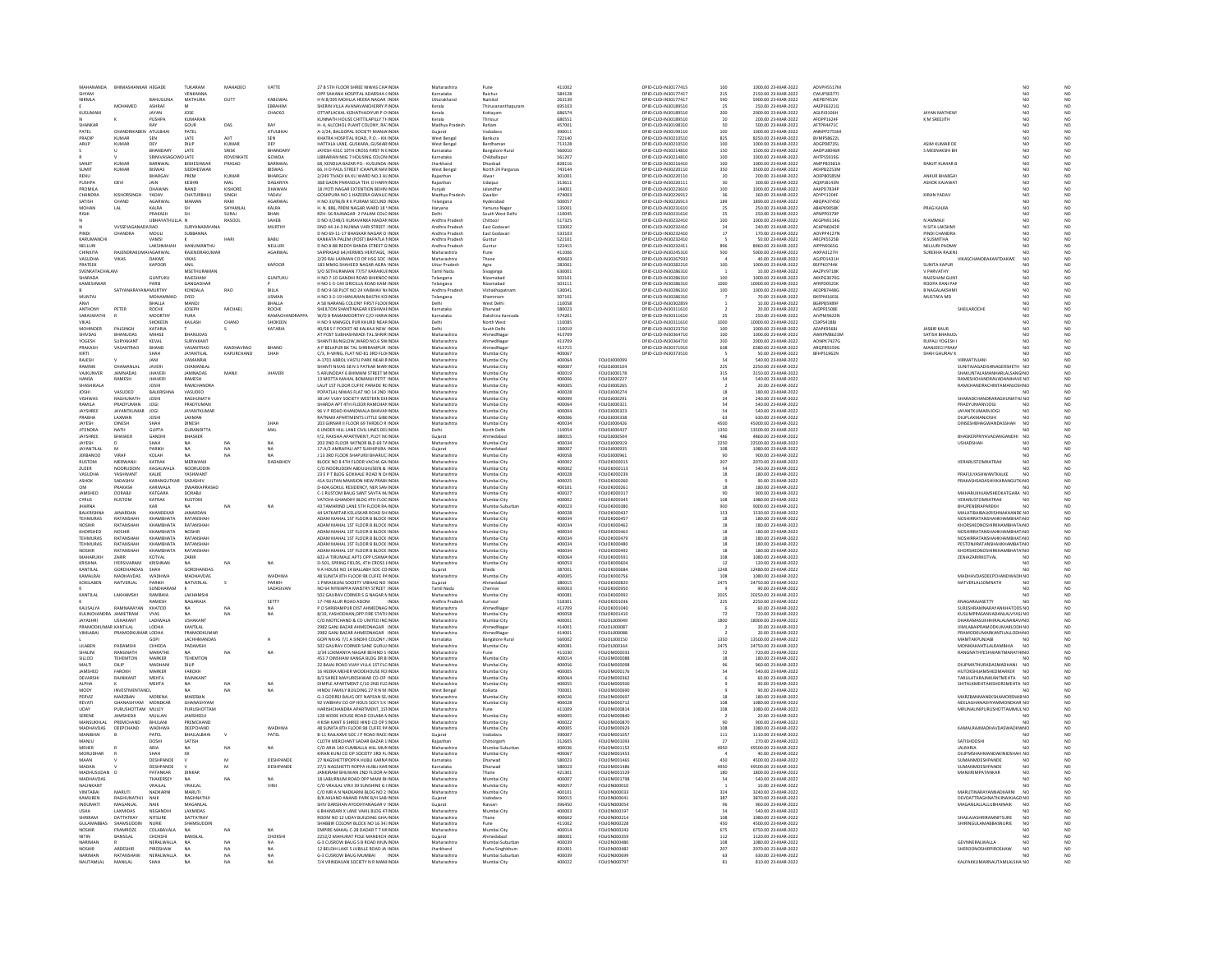| MAHANANDA                                 | <b>BHIMASHANKAR HEGADE</b>       |                                  | TUKARAM                         | MAHADEO            | VATTE                      | 27 B STH FLOOR SHREE NIWAS CHAINDIA                                           | Maharashtra                        |                                       | 411002           |                                      | DPID-CLID-IN30177415                         | 100                                        | 1000.00 23-MAR-2022                          | ADVPH5517M                      |                                 |                                                             |                 |                                  |
|-------------------------------------------|----------------------------------|----------------------------------|---------------------------------|--------------------|----------------------------|-------------------------------------------------------------------------------|------------------------------------|---------------------------------------|------------------|--------------------------------------|----------------------------------------------|--------------------------------------------|----------------------------------------------|---------------------------------|---------------------------------|-------------------------------------------------------------|-----------------|----------------------------------|
| <b>HYAM</b>                               |                                  |                                  | VENKANNA                        |                    |                            | OPP SAHANA HOSPITAL ADARSHA (INDIA<br>H N 8/395 MOHLLA HEERA NAGAR INDIA      | Karnataka<br>Uttarakhand           | <b>Raichur</b><br>Nainital            | 584128<br>263139 |                                      | DPID-CLID-IN30177417                         | 215<br>590                                 | 2150.00 23-MAR-2022                          | CWUPS0377J<br>AIEPB7451N        |                                 |                                                             |                 |                                  |
| <b>IRMLA</b>                              | MOHAMED                          | BAHUGUN<br>ASHRAF                | <b>MATHURA</b>                  | DUTT               | KABUWA<br>FRRAHIM          | SHERIN VILLA AVANAVANCHERRY PINDIA                                            | Kerala                             | Thiruyananthapuran                    | 695103           |                                      | DPID-CUD-IN30189510                          | 25                                         | 250.00 23-MAR-2022                           | AAEPE63210                      |                                 |                                                             | NO              | NC<br>NC<br>NC                   |
| KUSUMA                                    |                                  | <b>AYAN</b>                      | JOSE                            |                    | CHACKO                     | OTTAPLACKAL KIZHATHADIYUR P O INDI                                            | Kerala                             | Cottayan                              | 686574           |                                      | DPID-CLID-IN30189510                         | 200                                        | 2000.00 23-MAR-2022                          | GLPJ9106                        | JAYAN MATHEW                    |                                                             | NO              |                                  |
|                                           |                                  | PUSHPA                           | KUMARAN                         |                    |                            | KUNNATH HOUSE CHITTILAPILLY TI-INDIA                                          | Kerala                             | Thrissur                              | 680551           |                                      | DPID-CLID-IN30189510                         | 20                                         | 200.00 23-MAR-2022                           | AFDPP1624F                      | K M SREEJITH                    |                                                             | NO              |                                  |
| <b>SHANKAR</b><br>PATEL                   | CHANDRIKABEN ATULBHAI            | RAV                              | GOUR<br>PATEL                   | DAS                | RAY<br>ATULBHAI            | H- 4. ALCOHOL PLANT COLONY, RA' INDIA<br>A-1/24, BALGOPAL SOCIETY MANJA INDIA | Madhya Prades<br>Gujarat           | Ratiam<br>Vadodara                    | 457001<br>39001  |                                      | DPID-CUD-IN30198310<br>DPID-CLID-IN30199110  | 100                                        | 500.00 23-MAR-2022<br>1000.00 23-MAR-2022    | AFTPR4471C<br>ANNPP2755M        |                                 |                                                             | NÓ<br>NO        |                                  |
| PRADIE                                    | KUMAR                            | SEN                              | LATE                            | A ITT              | SEN                        | KHATRA HOSPITAL ROAD P.O. - KH INDN                                           | West Benga                         | Bankura                               | 722140           |                                      | DPID-CLID-IN30210510                         | 825                                        | 8250.00.23-MAR-2022                          | RVMPS86221                      |                                 |                                                             | NO              |                                  |
| ARUP                                      | KUMAR                            | DEY                              | DILIF                           | KUMAF              | DEY                        | HATTALA LANE, GUSKARA, GUSKAR INDU                                            | West Benga                         | Bardhamar                             | 713128           |                                      | DPID-CLID-IN30210510                         | 100<br>150                                 | 1000.00 23-MAR-2022                          | ADGPD87351                      | ASIM KUMAR DI                   |                                                             | $\frac{10}{10}$ |                                  |
|                                           |                                  | BHANDARY<br>SRINIVASC            | LATE<br>LATE                    | SRISK<br>ROVENKATI | BHANDARY<br>GOWDA          | JAYESH 431C 10TH CROSS FIRST N EINDIA<br>LIBRARIAN MIG 7 HOUSING COLON INDIA  | Karnataka<br>Karnataka             | <b>Bangalore Rural</b><br>Chikhallanu | 560010<br>561207 |                                      | DPID-CLID-IN30214810<br>DPID-CLID-IN30214810 | 100                                        | 1500.00 23-MAR-2022<br>1000.00 23-MAR-2022   | AADPU80468<br>AHTPS5919G        | S MEENAKSHI BH                  |                                                             | NO              |                                  |
| SANJIT                                    | KUMAR                            | BARNWAL                          | BISHESHWAR                      | PRASAD             | BARNWAL                    | 68, KENDUA BAZAR PO.- KUSUNDA INDIA                                           | Jharkhand                          | Dhanbad                               | 828116           |                                      | DPID-CLID-IN30216410                         | 100                                        | 1000.00 23-MAR-2022                          | AMPPB3381A                      | <b>RANJIT KUMAR B</b>           |                                                             | NO              |                                  |
| SLIMIT                                    | KLIMAR                           | <b>RISWAS</b>                    | SIDDHESWAR                      |                    | RISWAS                     | 66 H D PAUL STREET ICHAPUR NAVINDU                                            | West Benga                         | North 24 Pargana                      | 743144           |                                      | DPID-CLID-IN30220110                         | 350                                        | 3500.00.23-MAR-2022                          | <b>AKHPR2253M</b>               |                                 |                                                             | NO              |                                  |
| RENU<br><b>PLISHPA</b>                    | DEVI                             | BHARGAV<br>10.1N                 | PREM<br>KESHRI                  | KUMAF<br>MAL       | <b>BHARGAY</b><br>DAGARIYA | 2/249 TIVADI KA KU WARD NO.3 ALINDIA<br>368 GAON PARASOLA TEH D HARD INDIA    | Rajasthar<br>Rajasthan             | Alwar<br><b>Udainu</b>                | 30100<br>313611  |                                      | DPID-CUD-IN30220110<br>DPID-CUD-IN30220111   | 20                                         | 200.00 23-MAR-2022<br>300.00.23-MAR-2022     | AOEPB0585M<br>4OXPIR143N        | ANKUR BHARGA<br>ASHOK KAJAWAT   |                                                             | $\overline{NQ}$ |                                  |
| <b>PROMILA</b>                            |                                  | DHAWAM                           | NAND                            | KISHORE            | DHAWA                      | 18 JYOTI NAGAR EXTENTION BEHIN INDIA                                          | Punjab                             | alandhar                              | 14400            |                                      | DPID-CLID-IN30223610                         | 100                                        | 1000.00 23-MAR-2022                          | AAKPD78348                      |                                 |                                                             | NO<br>NÓ        |                                  |
| CHANDRA                                   | <b>KISHORSINGE</b>               | YADAV                            | CHATURBHUJ                      | SINGH              | YADAV                      | GOSHPURA NO 1 HAZEERA GWALIC INDIA                                            | Madhya Pradesh                     | Gwalion                               | 474003           |                                      | DPID-CLID-IN30226912                         |                                            | 360.00 23-MAR-2022                           | ADYPY1204F                      | KIRAN YADAV                     |                                                             | NO<br>NO        |                                  |
| SATISH                                    | CHAND                            | AGARWAL                          | MAMAN                           | RAM                | AGARWA                     | H NO 33/96/B R K PURAM SECUND INDIA                                           | Telangana                          | <b>Hyderabart</b>                     | 50005            |                                      | DPID-CUD-IN30226913                          | 189                                        | 1890.00.23-MAR-2022                          | AROPA3745F                      |                                 |                                                             | NO              |                                  |
| <b>MOHAN</b><br>RISHI                     | LAL                              | KALRA<br>PRAKASH                 |                                 | SHYAMLAI<br>SURAL  | KALRA<br>RHAN              | H. N. 886, PREM NAGAR WARD 18 'INDM<br>RZH- S6 RAINAGAR- 2 PALAM COLCINDIA    | Haryana<br>Delhi                   | Yamuna Naga<br>outh West Delhi        | 13500<br>110045  |                                      | DPID-CLID-IN30231610<br>DPID-CUD-IN30231610  | 25                                         | 250.00 23-MAR-2022<br>250.00.23-MAR-2022     | <b>ABAPK9058K</b><br>APNPP03798 | <b>PRAG KALRA</b>               |                                                             | NO              |                                  |
|                                           |                                  | <b>UBHAYATHULL</b>               |                                 | RASOOL             | SAHEB                      | D NO II/248/1 KURAVANKA MADAN INDIA                                           | Andhra Pradesl                     | Chittoor                              | 517325           |                                      | DPID-CLID-IN30232410                         | 100                                        | 1000.00 23-MAR-2022                          | AEGPN9114G                      | N AMMAJI                        |                                                             |                 | NC<br>NC<br>NC                   |
|                                           | VVSSPJAGANADA RAO                |                                  | SURYANARAYANA                   |                    | <b>MURTHY</b>              | DNO 44-14-3 NUNNA VARI STREET. INDIA                                          | Andhra Pradesh                     | East Godayari                         | 533002           |                                      | DPID-CUD-IN30232410                          | 24                                         | 240.00 23-MAR-2022                           | ACAPN6042F                      | N SITA LAKSHMI                  |                                                             | NO.             |                                  |
| PINDI<br>KARUMANCHI                       | CHANDRA                          | MOULI<br>VAMSI                   | SUBBANNA                        | HAR1               | <b>BABU</b>                | D NO 69-11-17 BHASKAR NAGAR O INDI<br>KANKATA PALEM (POST) BAPATLA I INDIA    | Andhra Prades<br>Andhra Pradesh    | East Godava<br>Guntur                 | 53310<br>522101  |                                      | DPID-CLID-IN30232410<br>DPID-CLID-IN30232410 |                                            | 170.00 23-MAR-2022<br>50.00 23-MAR-2022      | AOVPP4127<br>ARCPK5525B         | PINDI CHANDRA<br>K SUSMITHA     |                                                             | NO <sub></sub>  | NC<br>NC                         |
| NELLURI                                   |                                  | LAKSHMAIAH                       | <b>MANUBAANTML</b>              |                    | NELLURI                    | D NO 8-88 REDDY BANDA STREET GINDM                                            | Andhra Prades                      | Guntu                                 | 522415           |                                      | DPID-CLID-IN30232411                         | 896                                        | 8960.00 23-MAR-2022                          | AIPPN9365G                      | NELLURI PADMA                   |                                                             |                 |                                  |
| CHINKITA                                  | RAJENDRAKL                       | <b>IMAI AGARWAL</b>              | RAJENDRAKUMAR                   |                    | AGARWAL                    | SAIPRASAD 64, HERMES HERITAGE, INDIA                                          | Maharashtra                        | Pune                                  | 411006           |                                      | DPID-CLID-IN30245310                         | 500                                        | 5000.00 23-MAR-2022                          | AIXPA3127H                      | <b>SUREKHA RAJENI</b>           |                                                             |                 |                                  |
| VASUDHA<br><b>PRATEE</b>                  | VIKAS                            | DAKWE<br>KAPOOF                  | VIKAS<br>ANIL                   |                    | KAPOOR                     | 2/20 RAJ LAXMAN CO OP HSG SOC INDIA<br>183 MMIG SHAHEED NAGAR AGRA INDI.      | Maharashtra<br><b>Uttar Prades</b> | Thane                                 | 400603<br>28200  |                                      | DPID-CLID-IN30267933                         | 100                                        | 40.00 23-MAR-2022<br>1000.00 23-MAR-2022     | AGJPD1431H<br>BSFPK0744K        | <b>SUNITA KAPUR</b>             | VIKASCHANDRAKANTDAKWE                                       | NO.             | NC<br>NC<br>NC<br>NC<br>NC       |
| SVENKATACHALAM                            |                                  |                                  | <b>MSETHURAMAN</b>              |                    |                            | S/O SETHURAMAN 77/57 KARAIKUIINDIA                                            | <b>Tamil Nadu</b>                  | Agra<br>Sivaganga                     | 630003           |                                      | DPID-CLID-IN30282210<br>DPID-CLID-IN30286310 |                                            | 10.00 23-MAR-2022                            | AAZPV9718K                      | V PARVATHY                      |                                                             | NO <sub></sub>  |                                  |
| HARADA                                    |                                  | <b>GUNTUKU</b>                   | RAJESHAM                        |                    | <b>GUNTUKL</b>             | H NO 7-10 GANDHI ROAD BHIKNOC INDU                                            | Telangana                          |                                       | 50310            |                                      | DPID-CLID-IN30286310                         | 100                                        | 1000.00 23-MAR-2022                          | AKKPG30700                      | RAIFSHAM GUN                    |                                                             |                 |                                  |
| KAMESHWAR                                 | <b>CATVANADA</b>                 | PARSI<br><b>AMURTHY</b>          | GANGADHAR<br>KONDALA            | RAO                | <b>BILLA</b>               | H NO 1-5-144 SIRICILLA ROAD KAM INDIA<br>D NO 9-58 PLOT NO 24 VAIRHAV NJ INDU | Telangana                          | Nizamabad                             | 503111<br>sannat |                                      | DPID-CLID-IN30286310<br>DPID-CUD-IN30286310  | 1000<br>100                                | 10000.00 23-MAR-2022<br>1000.00 23-MAR-2022  | AFRPD0525K<br>AFDPR74480        | ROOPA RANI PAF<br>R NAGAI AKSHM |                                                             | NO<br>NO        |                                  |
| MUNTAJ                                    |                                  | MOHAMMAD                         | SYED                            |                    | <b>USMAN</b>               | H NO 3-2-19 HANUMAN BASTHI KO INDIA                                           | Andhra Pradesi<br>Telangana        | Vishakhapatnar<br>Khammam             | 507101           |                                      | DPID-CLID-IN30286310                         |                                            | 70.00 23-MAR-2022                            | <b>BXFPM1603</b>                | MUSTAFA MD                      |                                                             | NO              | NC<br>NC<br>NC<br>NC             |
| ANVI                                      |                                  | <b>RHAILA</b>                    | MANOI                           |                    | <b>RHAILA</b>              | A 58 NARANG COLONY FIRST FLOOLINDIA                                           | Delhi                              | West Delhi                            | 110058           |                                      | DRID-CUD-IN30302859                          |                                            | 10.00.23-MAR-2022                            | RGRPRS9896                      |                                 |                                                             | NO<br>NO        |                                  |
| MTHON                                     | PETER                            |                                  | <b>JOSEPH</b>                   | MICHAE             |                            | HEILTON SHANTINAGAR KESHWAI INDI                                              | Karnataka                          | harwad                                | 580023           |                                      | PID-CUD-IN30311610                           |                                            | 20.00 23-MAR-2022                            | AJDPR1508E                      |                                 | SHEILAROCHE                                                 |                 | NC<br>NC<br>NC                   |
| SARASWATHI<br>VIKAS                       |                                  | MOORTHY<br><b>HOKEEN</b>         | PURA<br>KAILASH                 | CHAND              | RAMACHANDRAPPA<br>SHOKEEN  | W/O B RAMAMOORTHY C/O HARIA INDIA<br>H NO 9 MANGOL PUR KHURD NEARINDIA        | Karnataka<br>Delhi                 | Dakshina Kannada<br><b>Vorth West</b> | 574201<br>110085 |                                      | DPID-CLID-IN30311610<br>DPID-CUD-IN30311610  | 25                                         | 250.00 23-MAR-2022<br>10000.00 23-MAR-2022   | AJVPM9622M<br>CSXPS41881        |                                 |                                                             | NO<br>NO        |                                  |
| MOHINDER                                  | PALSINGH                         | KATARIA                          |                                 |                    | KATARIA                    | 40/58 S F POCKET 40 KALKAJI NEW INDIA                                         | Delhi                              | South Delhi                           | 110019           |                                      | DPID-CLID-IN30323710                         | $\begin{array}{c} 1000 \\ 100 \end{array}$ | 1000.00 23-MAR-2022                          | AZAPK9568                       | <b>JASBIR KAUR</b>              |                                                             |                 | NC<br>NC                         |
| SHIVDAS                                   | <b>RHANLIDAS</b>                 | <b>MHASE</b>                     | <b>RHANLIDA®</b>                |                    |                            | AT POST SURHASHWADI TAL SHRIR INDIA                                           | Maharashtra                        | AhmedNaga                             | 413709           |                                      | DPID-CUD-IN30364710                          | 100                                        | 1000.00.23-MAR-2022                          | AWKPM8623M                      | SATISH RHANLID                  |                                                             | NO              | NC<br>NC                         |
| YOGESH<br>PRAKASH                         | <b>SURYAKAN</b><br>VASANTRAC     | KEVAL<br>BHAND                   | SURYAKAN<br>VASANTRAC           | MADHAVRAO          | <b>BHAND</b>               | SHANTI BUNGLOW, WARD NO.6 SWINDM<br>A P BELAPUR BK TAL SHRIRAMPUR INDIA       | Maharashtra<br>Maharashtra         | AhmedNagar<br>AhmedNaga               | 413709<br>413715 |                                      | DPID-CLID-IN30364710<br>DPID-CUD-IN30371910  | 200<br>638                                 | 2000.00 23-MAR-2022<br>6380.00 23-MAR-2022   | AONPK7427G<br>ARQPB5559G        | RUPALI YOGESH<br>MANJEECI PRAKA |                                                             | NO              |                                  |
|                                           |                                  |                                  | JAYANTILAI                      | KAPURCHAND         | SHAH                       | C/3, H-WING, FLAT NO-81 3RD FLO INDM                                          | Maharashtra                        | Mumbai City                           | 400067           |                                      | DPID-CLID-IN30373510                         |                                            |                                              | FHPS1962M                       | <b>SHAH GAURAV B</b>            |                                                             |                 | NC<br>NC<br>NC                   |
| RAJESH                                    |                                  | IANI                             | VAMANRA                         |                    |                            | A-1701 ABROL VASTU PARK NEAR FINDIA                                           | Maharashtra                        | Mumbai City                           | 400064           | FOLIOJ00009                          |                                              |                                            | 50.00 23-MAR-2022<br>540.00 23-MAR-2022      |                                 |                                 | VIRMATIVJANI                                                |                 |                                  |
| RAMNIK                                    | CHAMANI AI                       | <b>JAVERI</b>                    | CHAMANI AL                      |                    |                            | SHANTI NIVAS 38 N S PATKAR MAR INDIA                                          | Maharashtra                        | Mumbai City                           | 400007           | EQUIDIDOD104                         |                                              | 225                                        | 2250.00.23-MAR-2022                          |                                 |                                 | SUNITA IAGADISHNAGERSHETH NO                                |                 |                                  |
| VAJKUNVEI<br><b>HANSA</b>                 | JAMNADAS<br>RAMESH               | <b>JHAVERI</b><br><b>JHAVERI</b> | <b>JAMNADAS</b><br>RAMESH       | MANJI              | <b>JHAVERI</b>             | 5 ARUNODAY 6 BHIMANI STREET MINDH<br>13 MOTTA MAHAL BOMANJI PETIT INDIA       | Maharashtra<br>Maharashtra         | Mumbai City<br>Mumbai City            | 400019<br>400006 | FOLIOJ000178<br>FOLIOJ000227         |                                              | 315                                        | 3150.00 23-MAR-2022<br>540.00 23-MAR-2022    |                                 |                                 | SHAKUNTALAMANHARLALSANGI NO<br>RAMESHCHANDRAVADANJHAVE NO   |                 |                                  |
| SHASHIKAL                                 |                                  | <b>JOSHI</b>                     | RAMCHANDE                       |                    |                            | LALIT 1ST FLOOR CUFFE PARADE RC INDI                                          | Maharashtra                        | <b>Mumbai City</b>                    | 400005           | FOLIOJ000265                         |                                              |                                            | 20.00 23-MAR-2022                            |                                 |                                 |                                                             |                 |                                  |
| <b>JOSHI</b>                              | VASUDEO                          | BALKRISHN                        | VASUDEO                         |                    |                            | POPATLAL NIWAS FLAT NO 14 2ND INDIA                                           | Maharashtra                        | Mumbai City                           | 400028           | FOLIOJ000274                         |                                              |                                            | 180.00 23-MAR-2022                           |                                 |                                 |                                                             |                 | NC NC NC NC NC NC NC NC NC NC NC |
| <b>ISHWAS</b>                             | RAGHLINATH                       | <b>JOSH</b>                      | RAGHUNATH                       |                    |                            | 38 JAY VUAY SOCIETY WESTERN EXHNDM                                            | Maharashtra                        | .<br>Mumbai City                      | 400099           | FOLIOJ000291                         |                                              |                                            | 240.00 23-MAR-2022                           |                                 |                                 | SHARADCHANDRARAG<br>PRADYUMANVJOGI                          |                 |                                  |
| RAMILA<br><b>IAVSHREE</b>                 | PRADYUMAN<br>ΙΔΥΔΝΤΚΙ ΙΜΔΕ       | JOGI<br><b>JOGI</b>              | PRADYUMAN<br><b>JAYANTKUMAR</b> |                    |                            | SHARDA APT 4TH FLOOR RAMCHAN INDIA                                            | Maharashtra<br>Maharashtra         | Mumbai City                           | 400064<br>sonno  | FOLIOJ000321<br>EQUOJ000323          |                                              |                                            | 540.00 23-MAR-2022<br>540.00.23-MAR-2022     |                                 |                                 | IAVANTKI IMARVIOGI                                          | NO<br>NO        |                                  |
| PRABHA                                    | LAXMAN                           | <b>JOSH</b>                      | LAXMAN                          |                    |                            | 96 V P ROAD KHANDWALA BHAVAN INDIA<br>RATNAM APARTMENTS LITTLE GIBE INDIA     | Maharashtra                        | Mumbai City<br>Mumbai City            | 40000            | FOLIOJ000338                         |                                              |                                            | 630.00 23-MAR-202                            |                                 |                                 | DILIPLAXMANJOSH                                             |                 |                                  |
| JAYESH<br><b>JITENDRA</b>                 | DINESH<br><b>NATH</b>            | SHAH<br><b>GUPTA</b>             | DINESH<br><b>GURANDITTA</b>     |                    | <b>SHAF</b>                | 203 GIRNAR II FLOOR 69 TARDEO R INDIA                                         | Maharashtra                        | Mumbai City                           | 400034           | FOLIOJ000426                         |                                              | 4500                                       | 45000.00 23-MAR-2022                         |                                 |                                 | DINSESHBHAGWANDASSHAH                                       | NO <sub>1</sub> |                                  |
| JAYSHREE                                  | <b>BHASKER</b>                   | GANDHI                           | BHASKER                         |                    | MAL                        | UNDER HILL LANE CIVIL LINES DELINDM<br>F/2, RAKSHA APARTMENT, PLOT NCINDIA    | Gujarat                            | lorth Delh<br>Ahmedabad               | 110054<br>380015 | FOLIOJ00043<br>FOLIOJ000504          |                                              | 1350<br>486                                | 13500.00 23-MAR-2022<br>4860.00 23-MAR-2022  |                                 |                                 | BHASKERPRIYAVADANGANDHI NO                                  |                 |                                  |
| <b>IAVESH</b>                             |                                  | <b>ЧАН</b>                       |                                 | $\overline{M}$     | <b>NA</b>                  | 203 2ND FLOOR WITNOR BLD 69 TAINDM                                            | Maharashtra                        | Mumbai City                           | 400034           | EQUOJ000919                          |                                              | 2250<br>108                                | 22500.00 23-MAR-2022                         |                                 |                                 | <b>USHADSHAH</b>                                            |                 |                                  |
| <b>JAYANTILA</b>                          |                                  | PARIKH                           | <b>NA</b>                       | NA                 | NA                         | 17-A/2 AMRAPALI APT SUKHIPURA INDIA                                           | Gujarat                            | Ahmedabac                             | 380007           | FOLIOJ000935                         |                                              |                                            | 1080.00 23-MAR-2022                          |                                 |                                 |                                                             |                 |                                  |
| <b>IFRRANOO</b>                           | VIRAS                            | KOLAH<br>KATRAI                  | <b>NA</b><br>MERWANJI           | $\mathbf{M}$       | DADABHOY                   | L13 3RD FLOOR SHAPLIRIL BHARLIC INDIA<br>BLOCK NO 8 4TH FLOOR VACHA GA INDIA  | Maharashtra                        | Mumbai City                           | annoss           | EQUIDIDORES<br>FOLIOK000019          |                                              | 207                                        | 900.00.23-MAR-2022<br>2070.00 23-MAR-2022    |                                 |                                 | VERARUSTOMKATRAK                                            | NO              |                                  |
| <b>RUSTOM</b><br>ZUZER                    | MERWANJ<br>NOORUDDII             | KAGALWALA                        | NOORUDDIN                       |                    |                            | C/O NOORUDDIN ABDULHUSEIN & INDIA                                             | Maharashtra<br>Maharashtra         | Mumbai City<br>Mumbai City            | 400002<br>400002 | FOLIOK000113                         |                                              |                                            | 540.00 23-MAR-2022                           |                                 |                                 |                                                             | NO              |                                  |
| VASUDH/                                   | YASHWANT                         | KALKE                            | <b>YASHWANT</b>                 |                    |                            | 23 E P T BLDG GOKHALE ROAD N DJINDIJ                                          | Maharashtra                        | Mumbai City                           | 400028           | FOLIOK000239                         |                                              |                                            | 180.00 23-MAR-2022                           |                                 |                                 | PRAFIII YASHWANTKAI KF                                      | NO              | NC<br>NC<br>NC<br>NC<br>NC       |
| ASHOK<br>OM                               | SADASHIV<br>PRAKASH              | KARANGUTKAR<br>KARIWAI A         | SADASHIV<br><b>DWARKAPRASAD</b> |                    |                            | 41A SULTAN MANSION NEW PRABHNDIA<br>D-604 GOKUL RESIDENCY, NER SAN INDIA      | Maharashtra<br>Maharashtra         | Mumbai City<br>Mumbai City            | 400025<br>400101 | FOLIOK000260<br>EQUOK000261          |                                              |                                            | 90.00 23-MAR-2022<br>180.00.23-MAR-2022      |                                 |                                 | PRAKASHSADASHIVKARANGUTK/NO                                 |                 |                                  |
| JAMSHED                                   | <b>DORABI</b>                    | KATGARA                          | <b>DORABI</b>                   |                    |                            | C-1 RUSTOM BAUG SANT SAVTA M INDU                                             | Maharashtra                        | Mumbai City                           | 400027           | FOLIOK000317                         |                                              |                                            | 900.00 23-MAR-2022                           |                                 |                                 | MAHARUKHJAMSHEDKATGARA NO                                   |                 |                                  |
| CYRUS                                     | RUSTOM                           | KATRAK                           | <b>RUSTOM</b>                   |                    |                            | VATCHA GHANDHY BLDG 4TH FLOC INDIA                                            | Maharashtra                        | Mumbai City                           | 400002           | <b>FOLIOK000345</b>                  |                                              | 108                                        | 1080.00 23-MAR-2022                          |                                 |                                 | VERARUSTOMKATRAK                                            | NO              |                                  |
|                                           |                                  | KAR                              |                                 | NA                 |                            | 43 TAMARIND LANE STH FLOOR RA INDIA                                           | Maharashtra                        | Mumbai Suburt                         | 400023           | <b>FOLIOK000380</b>                  |                                              |                                            | 9000.00 23-MAR-2022                          |                                 |                                 | BHUPENDRAPAREKH                                             |                 |                                  |
| <b>BALKRISHNA</b><br><b>TEHMURAS</b>      | <b>JANARDAN</b><br>RATANSHAH     | KHANDEKAP<br><b>KHAMRHATA</b>    | JANARDAN<br>RATANSHAH           |                    |                            | 44 SATKARTAR KELUSKAR ROAD SHINDIA<br>ADAM MAHAL 15T FLOOR B BLOCK INDIA      | Maharashtra<br>Maharashtra         | Mumbai City<br>Mumbai Cit             | 400028<br>400034 | FOLIOK000437<br>FOLIOKODO457         |                                              | 153                                        | 1530.00 23-MAR-2022<br>180.00.23-MAR-2022    |                                 |                                 | MALATIBAIBALKRISHNAKHANDE NO<br>NOSHIRRATAN SHAHKHAMRHAT.NO |                 |                                  |
| <b>NOSHIR</b>                             | RATANSHAH                        | <b>КНАМВНАТА</b>                 | RATANSHAH                       |                    |                            | ADAM MAHAL 1ST FLOOR B BLOCK INDU                                             | Maharashtra                        | Mumbai City                           | 400034           | FOLIOK000462                         |                                              |                                            | 180.00 23-MAR-2022                           |                                 |                                 | KHORSHEDNOSHIRKHAMBHATA NO                                  |                 |                                  |
| KHORSHED                                  | <b>NOSHIR</b>                    | <b>КНАМВНАТА</b>                 | NOSHIR                          |                    |                            | ADAM MAHAL 1ST FLOOR B BLOCK INDIA                                            | Maharashtra                        | Mumbai City                           | 400034           | FOLIOK000463                         |                                              |                                            | 180.00 23-MAR-2022                           |                                 |                                 | NOSHIRRATANSHAHKHAMBHAT, NO                                 |                 |                                  |
| TEHMURAS<br>TEHMURAS                      | RATANSHA<br>RATANSHAH            | <b>КНАМВНАТА</b><br>KHAMBHATA    | RATANSHA<br>RATANSHAH           |                    |                            | ADAM MAHAL 1ST FLOOR B BLOCK INDIA<br>ADAM MAHAL 1ST FLOOR B BLOCK INDIA      | Maharashtra<br>Maharashtra         | Mumbai City<br>Mumbai City            | 400034<br>400034 | FOLIOK000479<br><b>FOLIOK000480</b>  |                                              |                                            | 180.00 23-MAR-2022<br>180.00 23-MAR-2022     |                                 |                                 | NOSHIRRATANSHAHKHAMBHAT.NO<br>PESTONJIRATANSHAHKHAMBAT, NO  |                 |                                  |
|                                           | RATANSHAH                        |                                  | RATANSHAH                       |                    |                            | ADAM MAHAL 1ST FLOOR B BLOCK INDIA                                            | Maharashtra                        | <b>Mumbai City</b>                    | 400034           | FOLIOK000492                         |                                              |                                            | 80.00 23-MAR-2022                            |                                 |                                 | ORSHEDNOSHIRKHAMBHATA' NO                                   |                 |                                  |
| MAHARUKH                                  | ZARIR                            | KOTVAL                           | ZARIR                           |                    |                            | 602-A TIRUMALE APTS OPP USHMAINDIA                                            | Maharashtra                        | Mumbai City                           | 400064           | FOLIOK000591                         |                                              | 108                                        | 1080.00 23-MAR-2022                          |                                 |                                 | ZENIAZARIRKOTVAL                                            | NO <sub>1</sub> |                                  |
| CRISHNA<br>KANTILAL                       | <b>IYERSIVARAM</b><br>GORDHANDAS | KRISHNAN<br>SHAH                 | <b>NA</b><br>GORDHANDAS         | NA                 | NA                         | D-501, SPRING FIELDS, 4TH CROSS LINDM<br>9 A HOUSE NO 14 BALLABH SOC COINDIA  | Maharashtra<br>Gujarat             | Mumbai City<br>Kheda                  | 400053<br>38700  | <b>FOLIOK000604</b><br>FOLIO K000684 |                                              | 1248                                       | 120.00 23-MAR-2022<br>12480.00 23-MAR-2022   |                                 |                                 |                                                             |                 |                                  |
| KAMALRA                                   | MADHAVDAS                        | <b>WADHWA</b>                    | MADHAVDAS                       |                    | WADHWA                     | 48 SUNITA 8TH FLOOR 98 CUFFE PAINDIA                                          | Maharashtra                        | Mumbai City                           | 400005           | <b>FOLIOK000756</b>                  |                                              | 108                                        | 1080.00 23-MAR-2022                          |                                 |                                 | MADHAVDASDEEPCHANDWADH NO                                   |                 |                                  |
| KOKILABEN                                 | NATVERLAL                        | PARIKH                           | NATVERLAL                       |                    | PARIKH                     | 1 PARASKUNJ SOCIETY VIBHAG NO INDI                                            | Gujarat                            |                                       | 380019           | FOLIOK000820                         |                                              | 2475                                       | 24750.00 23-MAR-2022                         |                                 |                                 | NATVERLALSOMNATH                                            |                 |                                  |
| KANTILAL                                  | <b>AVUAMEU</b>                   | SUNDHARAM<br>PAMPULI             | <b>LAVUANCE</b>                 |                    | SADASIVAN                  | NO 64 NYNIAPPA MAISTRY STREET INDIA<br>502 GAURAV CORNER S G NAGAR NINDIA     | <b>Tamil Nadu</b><br>Maharashtra   | Chennai<br>Mumbai City                | 600003<br>400083 | <b>FOLIOK000950</b><br>FOLIOK000992  |                                              |                                            | 90.00 23-MAR-2022<br>20250.00 23-MAR-2022    |                                 |                                 |                                                             |                 |                                  |
|                                           |                                  | RAMESH                           | NAGARAJA                        |                    | SETTY                      | 17-748 ALUR ROAD ADONI<br>INDV                                                | Andhra Prades!                     | Kurnool                               | 51830            | FOLIOK001036                         |                                              | 2025<br>225                                | 2250.00 23-MAR-2022                          |                                 |                                 | KNAGARAJASETTY                                              |                 |                                  |
| KAUSAIYA                                  | RAMMARAYAN                       | KHATOD                           | <b>NA</b>                       | NΔ                 |                            | P O SHRIRAMPLIR DIST AHMEDNAGINDIA                                            | Maharashtra                        | hmedNaga                              | 413709           | FOI IOK001040                        |                                              |                                            | 60.00.23-MAR-2022                            |                                 |                                 | SURFSHRAMNARAYANKHATODS NO                                  |                 |                                  |
| KULINCHANDRA JAMIETRAM<br><b>IAVASHRI</b> | <b>LISHAKANT</b>                 | VYAS<br><b>LADIWALA</b>          | <b>LISHAKANT</b>                | NA                 | <b>NA</b>                  | 8/19, YASHODHAN, OPP. FIRE STATI(INDIA<br>C/O MOTICHAND & CO UNITED INCINDIA  | Maharashtra<br>Maharashtra         | Mumbai City<br>Mumbai City            | 400058<br>400001 | FOLIOK001410<br>FOI IOI 000049       |                                              | 1800                                       | 720.00 23-MAR-2022<br>18000.00.23-MAR-2022   |                                 |                                 | KUSUMPRASANVADANLALVYASJ NO<br>DHARAMASUKHHIRALAI NANAVLNO  |                 |                                  |
| CAMADON                                   | KANTILAL                         | LODHA                            | KANTILAL                        |                    |                            | 2982 GANJ BAZAR AHMEDNAGAR INDIA                                              | Maharashtra                        |                                       | 414001           | EQUIDUODORE                          |                                              |                                            | 20.00 23-MAR-2022                            |                                 |                                 | VIM ARAIDRAMOOKUMARI OOM N                                  |                 |                                  |
| VIMLABAI                                  | PRAMODKUMAR LODHA                |                                  | PRAMODKUMAR                     |                    |                            | 2982 GANJ BAZAR AHMEDNAGAR INDIA                                              | Maharashtra                        | AhmedNagar                            | 41400            | <b>FOLIOL000088</b>                  |                                              |                                            | 20.00 23-MAR-2022                            |                                 |                                 | PRAMODKUMARKANTILALLODH NO                                  |                 |                                  |
| LILABEN                                   | PADAMSH                          | GOPL<br>CHHEDA                   | <b>LACHHMANDAS</b><br>PADAMSHI  |                    |                            | GOPI NIVAS 7/1 A SINDHI COLONY JINDIA<br>502 GAURAV CORNER SANE GURUJ INDIA   | Karnataka                          | <b>Bangalore Rura</b>                 | 560002<br>400083 | EQUIDL000150<br>FOLIOL000164         |                                              | 1350<br>2475                               | 13500.00 23-MAR-2022<br>24750.00 23-MAR-2022 |                                 |                                 | ΜΔΜΤΔΚΡΗΝΙΔΡΗ<br><b>MONIKAKANTILALRAMBHIA</b>               | NO              |                                  |
| SHALIN                                    | RANGNATH                         | MARATHE                          | <b>NA</b>                       | $N\Delta$          | NΔ                         | 3/34 LOKMANYA NAGAR REHIND S INDIA                                            | Maharashtra<br>Maharashtra         | Mumbai City                           | 411030           | EQUIOMO00033                         |                                              |                                            | 720.00.23-MAR-2022                           |                                 |                                 | RANGNATHYFSHWANTMARATHINO                                   |                 |                                  |
| SILLOO                                    | TEHEMTON                         | MARKER                           | TEHEMTON                        |                    |                            | 453 7 DINSHAW KANGA BLDG DR B INDIA                                           | Maharashtra                        | Mumbai City                           | 400014           | FOLIOM000088                         |                                              |                                            | 180.00 23-MAR-2022                           |                                 |                                 |                                                             |                 |                                  |
| MALTI                                     | <b>DILIP</b>                     | MADHAN<br>MARKER                 | DILIP                           |                    |                            | 22 BAJAJ ROAD VIJAY VILLA 1ST FLC INDIA                                       | Maharashtra                        | Mumbai City                           | 400056           | FOLIOM000098                         |                                              |                                            | 960.00 23-MAR-2022                           |                                 |                                 | DILIPMATHURADASMADHANI NO                                   |                 |                                  |
| DEVARSH                                   | RAINIKANT                        | MEHTA                            | RAINIKAN                        |                    |                            | 16 HEERA MEHER WODEHOUSE ROINDIA                                              | Maharashtra<br>Maharashtra         | Mumbai City<br>Mumbai City            | 40006            | FOLIOM000176<br>FOLIOM000362         |                                              |                                            | 540.00 23-MAR-2022<br>60.00 23-MAR-2022      |                                 |                                 | HUTOKSHIJAMSHEDMARKER<br>TARULATARAJNIKANTMEHTA             |                 |                                  |
| <b>AIPHA</b>                              |                                  | MEHTA                            | <b>NA</b>                       | $\mathbf{M}$       | NΔ                         | DIMPLE APARTMENT C/10 2ND ELCINDIA                                            | Maharashtra                        | Mumbai City                           | annoss           | FOI IOMODOSOC                        |                                              |                                            | 90.00.23-MAR-2022                            |                                 |                                 | SHITAI KMEHTAKISHORSMEHTA NO                                |                 |                                  |
| MODY                                      | <b>INVESTMENTANDL</b>            |                                  |                                 | NA                 | NA                         | HINDU FAMILY BUILDING 27 R N M INDU                                           | West Bengal                        | Kolkata                               | 70000            | FOLIOM000690                         |                                              |                                            | 90.00 23-MAR-2022                            |                                 |                                 |                                                             |                 |                                  |
| PERVIZ<br>REVAT                           | MARZBAN                          | MORENA<br>MONDKAR                | MARZBAN<br><b>GHANASHYAM</b>    |                    |                            | G-1 GODREJ BAUG OFF NAPEAN SE INDIA<br>92 VAIBHAV CO OP HOUS SOCY S K INDIA   | Maharashtra<br>Maharashtra         | Mumbai City<br>Mumbai City            | 400026<br>400028 | FOLIOM000697<br>FOLIOM000712         |                                              |                                            | 180.00 23-MAR-2022<br>080.00 23-MAR-2022     |                                 |                                 | MARZBANMANEKSHAMORENAB NO<br>NEELAGHANASHYAMMONDKAR NO      |                 |                                  |
| UDAY                                      | PURUSHOTTAM MULEY                |                                  | PURUSHOTTAM                     |                    |                            | HARISHCHANDRA APARTMENT, 1S1INDIA                                             | Maharashtra                        | Pune                                  | 411009           | FOLIOM000814                         |                                              | 108                                        | 1080.00 23-MAR-2022                          |                                 |                                 | MRUNALINIPURUSHOTTAMMUL NO                                  |                 |                                  |
| SERENE                                    | <b>AMSUEDI</b>                   | MULLAN                           | <b>IAMSHEDI</b>                 |                    |                            | 128 WODE HOUSE ROAD COLABA NINDM                                              | Maharashtra                        | Mumbai City                           | 40000            | FOI IOMODORAS                        |                                              |                                            | 20.00 23-MAR-2022                            |                                 |                                 |                                                             |                 |                                  |
| MANSUKHLAI<br>MADHAVDAS                   | PREMCHAND<br>DEEPCHAND           | BHULANI<br><b>WADHWA</b>         | PREMCHAND<br>DEEPCHAND          |                    | <b>WADHWA</b>              | 4 KISH KANT 6 SHREE HIND CO OP SINDIA                                         | Maharashtra<br>Maharashtra         | Mumbai City<br>Mumbai City            | 400022<br>400001 | FOLIOM000870<br>FOI IOMODO929        |                                              | 108                                        | 900.00 23-MAR-2022<br>1080.00.23-MAR-2022    |                                 |                                 | KAMALRAJMADHAVDASWADHWNO                                    |                 |                                  |
|                                           |                                  | PATEL                            | BHAILALBHAI                     |                    | PATEL                      | 48 SUNITA 8TH FLOOR 98 CUFFE PAINDIA<br>B-11 RAJLAXMI SOC J P ROAD RACE INDIA | Gujarat                            | adodara                               | 390007           | FOLIOM00105                          |                                              | 111                                        | 1110.00 23-MAR-2022                          |                                 |                                 |                                                             |                 |                                  |
| MANJU                                     |                                  | DOSHI                            | SATISH                          |                    |                            | CLOTH MERCHANT SADAR BAZAR 1 INDIA                                            | Rajasthan                          | Chittorearh                           | 312605           | FOLIOM001093                         |                                              |                                            | 270.00 23-MAR-2022                           |                                 |                                 | SATISHDOSHI                                                 | NO <sub>1</sub> |                                  |
| MEHER<br>MORLIDHAR                        |                                  | ARIA<br>SHAH                     | XX                              | $\overline{M}$     | NΔ                         | C/O ARIA 140 CUMBALLA HILL MUNINDIA<br>KIRAN KUNJ CO OP SOCIETY 3RD FL INDIA  | Maharashtr<br>Maharashtra          | .<br>Mumbai Suburba<br>Mumbai City    | 400036<br>400067 | FOLIOM001152<br>FOLIOM001453         |                                              | 4950                                       | 49500.00 23-MAR-2022<br>40.00 23-MAR-2022    |                                 |                                 | <b>IAIRARIA</b><br>DILIPMSHAHMANDAKINIDSHAH NO              |                 | NC NC NC NC NC NC NC NC NC NC NC |
| MAAN                                      |                                  | DESHPANDE                        |                                 |                    | <b>DESHPANDE</b>           | 27 NAGSHETTIPOPPA HUBLI KARNAINDIA                                            | Karnataka                          | <b>Charwad</b>                        | 580023           | FOI IOMO01465                        |                                              | 450                                        | 4500.00 23-MAR-2022                          |                                 |                                 | <b>SUMANMOFSHPANDE</b>                                      | NO              |                                  |
| MADAN                                     |                                  | DESHPANDE                        |                                 |                    | DESHPANDE                  | 27/1 NAGSHETTI ROPPA HUBLI KARINDIA                                           | Karnataka                          | Dharwad                               | 580023           | FOLIOM001486                         |                                              | 4950                                       | 49500.00 23-MAR-2022                         |                                 |                                 | SUMANMDESHPANDE                                             | NO              |                                  |
| MADHLISLIDAN D                            |                                  | PATANKAR                         | DINKAR                          | NA                 |                            | IANKIRAM RHI IWAN 2ND FLOOR ALINDIA                                           | Maharashtra                        | Thane                                 | 421301           | FOLIOMO01529                         |                                              | 180                                        | 1800.00.23-MAR-2022                          |                                 |                                 | <b>MANIIRIMPATANKAR</b>                                     | N <sub>0</sub>  |                                  |
| MADHAVDA!<br>NALINKANT                    |                                  | THAKERSEY<br>VRAJLAL             | NA<br>VRAJLAI                   |                    | VIRJI                      | 18 LABURNUM ROAD OPP MANI BH INDIA<br>C/O VRAJLAL VIRJI 39 SUNSHINE G IINDIA  | Maharashtra<br>Maharashtra         | Mumbai City<br>Mumbai City            | 40000<br>400057  | FOLIOM001798<br>FOLION000010         |                                              |                                            | 540.00 23-MAR-2022<br>10.00 23-MAR-2022      |                                 |                                 |                                                             |                 |                                  |
| VINITARAL                                 | <b>MARLITI</b>                   | NADKARNI                         | MARITI                          |                    |                            | C/O MR A N NADKARNI BLDG NO 2 INDIA                                           | Maharashtra                        | Mumbai City                           | 400101           | FOLIONOOO33                          |                                              | 324<br>387                                 | 3240.00 23-MAR-2022                          |                                 |                                 | MARI ITINARAYANNADKARNI                                     | N <sub>0</sub>  |                                  |
| KAMUBEN<br>INDUMATI                       | RAGHUNATH<br>MAGANI AL           | NAIK<br>NAIK                     | RAGHNATHJI<br>MAGANI AL         |                    |                            | B/8 AKLAND ANAND PARK B/H SAB INDIA<br>SHIV DARSHAN AYODHYANAGAR V INDU       | Gujarat                            | Vadodara                              | 390015<br>396450 | FOLION000041<br>FOI IONODOS4         |                                              |                                            | 3870.00 23-MAR-2022<br>960.00.23-MAR-2022    |                                 |                                 | DEVDATTRAGHNATHJINAJKJAGD NO<br>MAGANLALLALLIRHAINAIK       |                 |                                  |
| <b>USHA</b>                               | LAXMIDAS                         | <b>NEGANDE</b>                   | LAXMIDAS                        |                    |                            | 6 BHANDARI X LANE VAKIL BLDG 41 INDM                                          | Guiarat<br>Maharashtra             | Navcari<br>Mumbai City                | 400003           | FOLION000197                         |                                              |                                            | 540.00 23-MAR-2022                           |                                 |                                 |                                                             | NO <sub>1</sub> |                                  |
| SHRIRAM                                   | DATTATRAY                        | NITSURE                          | DATTATRAY                       |                    |                            | ROOM NO 12 UDAY BUILDING GHA INDIA                                            | Maharashtra                        | Thane                                 | 400602           | FOLION000214                         |                                              | 108                                        | 1080.00 23-MAR-2022                          |                                 |                                 | SHAILAJASHRIRAMNITSURE                                      | NO <sub>1</sub> |                                  |
| <b>GULAMABB</b>                           |                                  | NURIE                            | MSUDDI                          |                    |                            | BBIR COLONY BLOCK NO 16 34: INDM                                              | Maharashtra                        |                                       | 411002           | FOLION000228                         |                                              |                                            | 4500.00 23-MAR-2022                          |                                 |                                 | <b>IRINGULAMABBASNURIE</b>                                  |                 |                                  |
| NOSHIR<br>NITIN                           | FRAMROZE<br>AANSILAI             | COLABAVALA<br>снокчи             | <b>NA</b><br>RANSILAI           |                    | NA<br>сноккн               | EMPIRE MAHAL C-28 DADAR T T MUNDIA<br>2252/2 MAHLIRAT POLE MANEKCH INDIA      | Maharashtra<br>Gujarat             | Mumbai City                           | 400014<br>380001 | FOLION000243<br>FOI IONOO255         |                                              | 675<br>112                                 | 6750.00 23-MAR-2022<br>1120.00.23-MAR-2022   |                                 |                                 |                                                             | NÒ              | NC<br>NC<br>NC<br>NC<br>NC       |
| NARIMAN                                   |                                  | NERALWALLA                       |                                 |                    |                            | G-3 CUSROW BAUG S B ROAD MUNINDIA                                             | Maharashtra                        | Mumbai Suburba                        | 400039           | FOLION000480                         |                                              | 108                                        | 1080.00 23-MAR-2022                          |                                 |                                 | GEVNNERALWALLA                                              |                 |                                  |
| <b>NOSHIR</b>                             | ARDESHIR                         | PIROSHAW                         | NA                              | NA                 | <b>NA</b>                  | 12 BELDIH LAKE 5 JUBILLE ROAD JA INDIA                                        | Jharkhand                          | Purba Singhbhun                       | 831001           | FOLION000482                         |                                              | 207                                        | 2070.00 23-MAR-2022                          |                                 |                                 | SHEROONOSHIRPIROSHAW                                        | NO              |                                  |
| NAUTAMLAL                                 | RATANSHAW<br>MANILAL             | NERALWALLA<br>чан                |                                 | NA                 |                            | <b>G-3 CUSROW BAUG MUMBAI</b><br>7/4 VRINDAVAN SOCIETY N R MANI INDIA         | Maharashtra<br>Maharashtra         | Mumbai Suburba<br>Mumbai City         | 400039<br>400022 | FOLION00069<br>FOLION000797          |                                              |                                            | 630.00 23-MAR-2022<br>810.00 23-MAR-2022     |                                 |                                 | KALPAKKUMARNAUTAMLALSHA NO                                  |                 |                                  |
|                                           |                                  |                                  |                                 |                    |                            |                                                                               |                                    |                                       |                  |                                      |                                              |                                            |                                              |                                 |                                 |                                                             |                 |                                  |